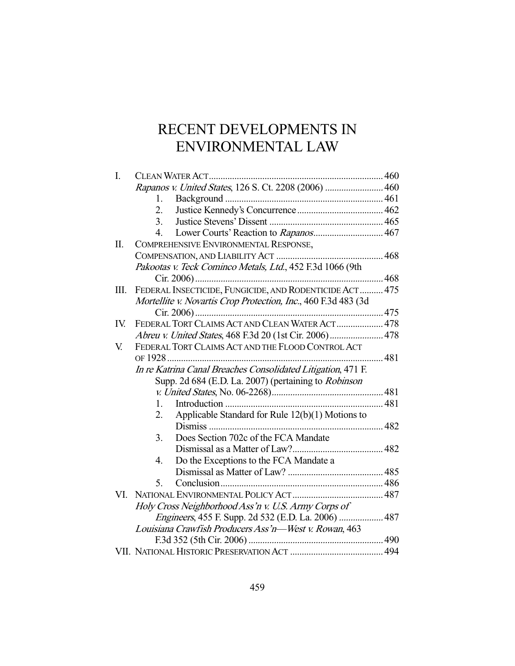# RECENT DEVELOPMENTS IN ENVIRONMENTAL LAW

| I.  |                                                                |  |  |
|-----|----------------------------------------------------------------|--|--|
|     | Rapanos v. United States, 126 S. Ct. 2208 (2006)  460          |  |  |
|     | 1.                                                             |  |  |
|     | 2.                                                             |  |  |
|     | 3.                                                             |  |  |
|     | 4.                                                             |  |  |
| Π.  | COMPREHENSIVE ENVIRONMENTAL RESPONSE,                          |  |  |
|     |                                                                |  |  |
|     | Pakootas v. Teck Cominco Metals, Ltd., 452 F.3d 1066 (9th      |  |  |
|     |                                                                |  |  |
| Ш.  | FEDERAL INSECTICIDE, FUNGICIDE, AND RODENTICIDE ACT 475        |  |  |
|     | Mortellite v. Novartis Crop Protection, Inc., 460 F.3d 483 (3d |  |  |
|     |                                                                |  |  |
| IV. | FEDERAL TORT CLAIMS ACT AND CLEAN WATER ACT  478               |  |  |
|     | Abreu v. United States, 468 F.3d 20 (1st Cir. 2006) 478        |  |  |
| V.  | FEDERAL TORT CLAIMS ACT AND THE FLOOD CONTROL ACT              |  |  |
|     |                                                                |  |  |
|     | In re Katrina Canal Breaches Consolidated Litigation, 471 F.   |  |  |
|     | Supp. 2d 684 (E.D. La. 2007) (pertaining to <i>Robinson</i>    |  |  |
|     |                                                                |  |  |
|     | 1.                                                             |  |  |
|     | Applicable Standard for Rule 12(b)(1) Motions to<br>2.         |  |  |
|     |                                                                |  |  |
|     | Does Section 702c of the FCA Mandate<br>3.                     |  |  |
|     |                                                                |  |  |
|     | Do the Exceptions to the FCA Mandate a<br>4.                   |  |  |
|     |                                                                |  |  |
|     | 5.                                                             |  |  |
| VI. |                                                                |  |  |
|     | Holy Cross Neighborhood Ass'n v. U.S. Army Corps of            |  |  |
|     |                                                                |  |  |
|     | Louisiana Crawfish Producers Ass'n—West v. Rowan, 463          |  |  |
|     |                                                                |  |  |
|     |                                                                |  |  |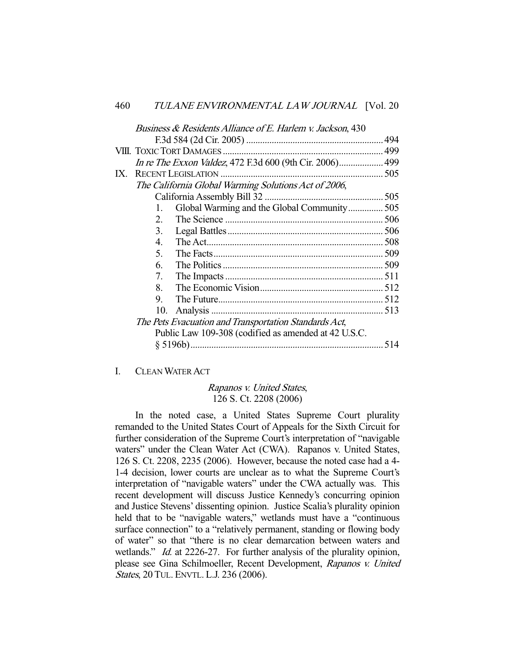|                                                       | Business & Residents Alliance of E. Harlem v. Jackson, 430 |                                                          |     |  |  |
|-------------------------------------------------------|------------------------------------------------------------|----------------------------------------------------------|-----|--|--|
|                                                       |                                                            |                                                          |     |  |  |
|                                                       |                                                            |                                                          |     |  |  |
|                                                       |                                                            | In re The Exxon Valdez, 472 F.3d 600 (9th Cir. 2006) 499 |     |  |  |
| IX.                                                   |                                                            | <b>RECENT LEGISLATION</b>                                |     |  |  |
|                                                       |                                                            | The California Global Warming Solutions Act of 2006,     |     |  |  |
|                                                       |                                                            |                                                          |     |  |  |
|                                                       | 1.                                                         | Global Warming and the Global Community 505              |     |  |  |
|                                                       | 2.                                                         |                                                          |     |  |  |
|                                                       | 3 <sub>1</sub>                                             |                                                          |     |  |  |
|                                                       | 4.                                                         |                                                          |     |  |  |
|                                                       | 5.                                                         |                                                          |     |  |  |
|                                                       | 6.                                                         |                                                          |     |  |  |
|                                                       | 7.                                                         |                                                          |     |  |  |
|                                                       | 8.                                                         |                                                          |     |  |  |
|                                                       | 9.                                                         |                                                          |     |  |  |
|                                                       | 10.                                                        |                                                          |     |  |  |
| The Pets Evacuation and Transportation Standards Act, |                                                            |                                                          |     |  |  |
|                                                       | Public Law 109-308 (codified as amended at 42 U.S.C.       |                                                          |     |  |  |
|                                                       |                                                            |                                                          | 514 |  |  |
|                                                       |                                                            |                                                          |     |  |  |

# I. CLEAN WATER ACT

# Rapanos v. United States, 126 S. Ct. 2208 (2006)

 In the noted case, a United States Supreme Court plurality remanded to the United States Court of Appeals for the Sixth Circuit for further consideration of the Supreme Court's interpretation of "navigable waters" under the Clean Water Act (CWA). Rapanos v. United States, 126 S. Ct. 2208, 2235 (2006). However, because the noted case had a 4- 1-4 decision, lower courts are unclear as to what the Supreme Court's interpretation of "navigable waters" under the CWA actually was. This recent development will discuss Justice Kennedy's concurring opinion and Justice Stevens' dissenting opinion. Justice Scalia's plurality opinion held that to be "navigable waters," wetlands must have a "continuous surface connection" to a "relatively permanent, standing or flowing body of water" so that "there is no clear demarcation between waters and wetlands." *Id.* at 2226-27. For further analysis of the plurality opinion, please see Gina Schilmoeller, Recent Development, Rapanos v. United States, 20 TUL. ENVTL. L.J. 236 (2006).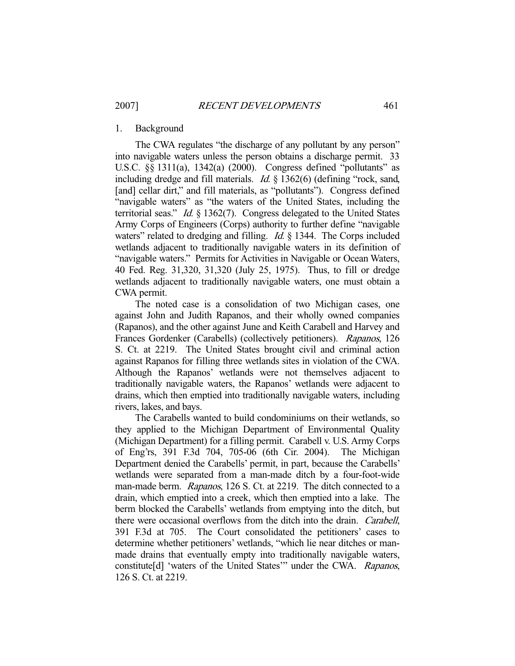#### 1. Background

 The CWA regulates "the discharge of any pollutant by any person" into navigable waters unless the person obtains a discharge permit. 33 U.S.C. §§ 1311(a), 1342(a) (2000). Congress defined "pollutants" as including dredge and fill materials. Id. § 1362(6) (defining "rock, sand, [and] cellar dirt," and fill materials, as "pollutants"). Congress defined "navigable waters" as "the waters of the United States, including the territorial seas." *Id.* § 1362(7). Congress delegated to the United States Army Corps of Engineers (Corps) authority to further define "navigable waters" related to dredging and filling. *Id.* § 1344. The Corps included wetlands adjacent to traditionally navigable waters in its definition of "navigable waters." Permits for Activities in Navigable or Ocean Waters, 40 Fed. Reg. 31,320, 31,320 (July 25, 1975). Thus, to fill or dredge wetlands adjacent to traditionally navigable waters, one must obtain a CWA permit.

 The noted case is a consolidation of two Michigan cases, one against John and Judith Rapanos, and their wholly owned companies (Rapanos), and the other against June and Keith Carabell and Harvey and Frances Gordenker (Carabells) (collectively petitioners). Rapanos, 126 S. Ct. at 2219. The United States brought civil and criminal action against Rapanos for filling three wetlands sites in violation of the CWA. Although the Rapanos' wetlands were not themselves adjacent to traditionally navigable waters, the Rapanos' wetlands were adjacent to drains, which then emptied into traditionally navigable waters, including rivers, lakes, and bays.

 The Carabells wanted to build condominiums on their wetlands, so they applied to the Michigan Department of Environmental Quality (Michigan Department) for a filling permit. Carabell v. U.S. Army Corps of Eng'rs, 391 F.3d 704, 705-06 (6th Cir. 2004). The Michigan Department denied the Carabells' permit, in part, because the Carabells' wetlands were separated from a man-made ditch by a four-foot-wide man-made berm. Rapanos, 126 S. Ct. at 2219. The ditch connected to a drain, which emptied into a creek, which then emptied into a lake. The berm blocked the Carabells' wetlands from emptying into the ditch, but there were occasional overflows from the ditch into the drain. Carabell, 391 F.3d at 705. The Court consolidated the petitioners' cases to determine whether petitioners' wetlands, "which lie near ditches or manmade drains that eventually empty into traditionally navigable waters, constitute[d] 'waters of the United States'" under the CWA. Rapanos, 126 S. Ct. at 2219.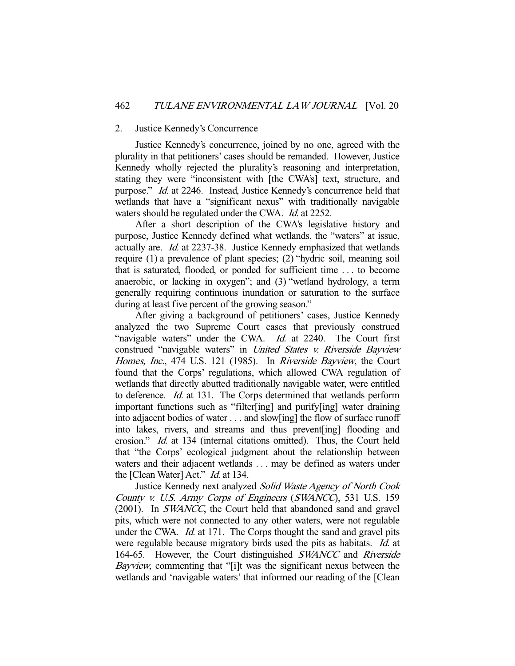#### 2. Justice Kennedy's Concurrence

 Justice Kennedy's concurrence, joined by no one, agreed with the plurality in that petitioners' cases should be remanded. However, Justice Kennedy wholly rejected the plurality's reasoning and interpretation, stating they were "inconsistent with [the CWA's] text, structure, and purpose." Id. at 2246. Instead, Justice Kennedy's concurrence held that wetlands that have a "significant nexus" with traditionally navigable waters should be regulated under the CWA. Id. at 2252.

 After a short description of the CWA's legislative history and purpose, Justice Kennedy defined what wetlands, the "waters" at issue, actually are. Id. at 2237-38. Justice Kennedy emphasized that wetlands require (1) a prevalence of plant species; (2) "hydric soil, meaning soil that is saturated, flooded, or ponded for sufficient time . . . to become anaerobic, or lacking in oxygen"; and (3) "wetland hydrology, a term generally requiring continuous inundation or saturation to the surface during at least five percent of the growing season."

 After giving a background of petitioners' cases, Justice Kennedy analyzed the two Supreme Court cases that previously construed "navigable waters" under the CWA. *Id.* at 2240. The Court first construed "navigable waters" in United States v. Riverside Bayview Homes, Inc., 474 U.S. 121 (1985). In Riverside Bayview, the Court found that the Corps' regulations, which allowed CWA regulation of wetlands that directly abutted traditionally navigable water, were entitled to deference. Id. at 131. The Corps determined that wetlands perform important functions such as "filter[ing] and purify[ing] water draining into adjacent bodies of water . . . and slow[ing] the flow of surface runoff into lakes, rivers, and streams and thus prevent[ing] flooding and erosion." Id. at 134 (internal citations omitted). Thus, the Court held that "the Corps' ecological judgment about the relationship between waters and their adjacent wetlands . . . may be defined as waters under the [Clean Water] Act." *Id.* at 134.

 Justice Kennedy next analyzed Solid Waste Agency of North Cook County v. U.S. Army Corps of Engineers (SWANCC), 531 U.S. 159 (2001). In SWANCC, the Court held that abandoned sand and gravel pits, which were not connected to any other waters, were not regulable under the CWA. *Id.* at 171. The Corps thought the sand and gravel pits were regulable because migratory birds used the pits as habitats. *Id.* at 164-65. However, the Court distinguished SWANCC and Riverside Bayview, commenting that "[i]t was the significant nexus between the wetlands and 'navigable waters' that informed our reading of the [Clean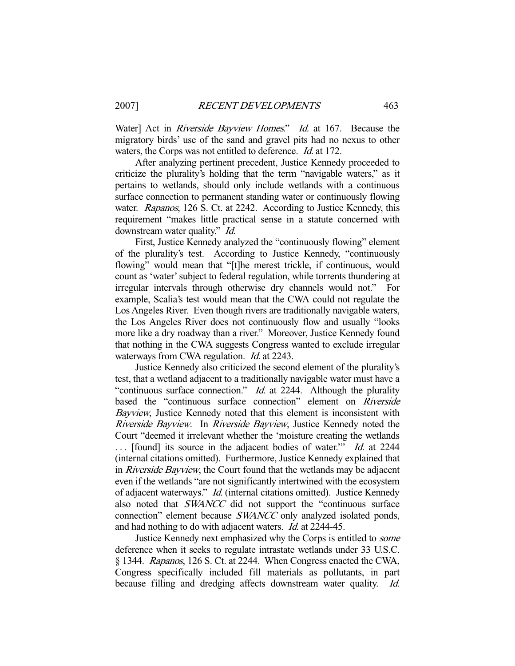Water] Act in *Riverside Bayview Homes.*" *Id.* at 167. Because the migratory birds' use of the sand and gravel pits had no nexus to other waters, the Corps was not entitled to deference. Id. at 172.

 After analyzing pertinent precedent, Justice Kennedy proceeded to criticize the plurality's holding that the term "navigable waters," as it pertains to wetlands, should only include wetlands with a continuous surface connection to permanent standing water or continuously flowing water. Rapanos, 126 S. Ct. at 2242. According to Justice Kennedy, this requirement "makes little practical sense in a statute concerned with downstream water quality." *Id.* 

 First, Justice Kennedy analyzed the "continuously flowing" element of the plurality's test. According to Justice Kennedy, "continuously flowing" would mean that "[t]he merest trickle, if continuous, would count as 'water' subject to federal regulation, while torrents thundering at irregular intervals through otherwise dry channels would not." For example, Scalia's test would mean that the CWA could not regulate the Los Angeles River. Even though rivers are traditionally navigable waters, the Los Angeles River does not continuously flow and usually "looks more like a dry roadway than a river." Moreover, Justice Kennedy found that nothing in the CWA suggests Congress wanted to exclude irregular waterways from CWA regulation. *Id.* at 2243.

 Justice Kennedy also criticized the second element of the plurality's test, that a wetland adjacent to a traditionally navigable water must have a "continuous surface connection." *Id.* at 2244. Although the plurality based the "continuous surface connection" element on Riverside Bayview, Justice Kennedy noted that this element is inconsistent with Riverside Bayview. In Riverside Bayview, Justice Kennedy noted the Court "deemed it irrelevant whether the 'moisture creating the wetlands ... [found] its source in the adjacent bodies of water." *Id.* at 2244 (internal citations omitted). Furthermore, Justice Kennedy explained that in Riverside Bayview, the Court found that the wetlands may be adjacent even if the wetlands "are not significantly intertwined with the ecosystem of adjacent waterways." Id. (internal citations omitted). Justice Kennedy also noted that SWANCC did not support the "continuous surface connection" element because SWANCC only analyzed isolated ponds, and had nothing to do with adjacent waters. Id. at 2244-45.

Justice Kennedy next emphasized why the Corps is entitled to *some* deference when it seeks to regulate intrastate wetlands under 33 U.S.C. § 1344. Rapanos, 126 S. Ct. at 2244. When Congress enacted the CWA, Congress specifically included fill materials as pollutants, in part because filling and dredging affects downstream water quality. Id.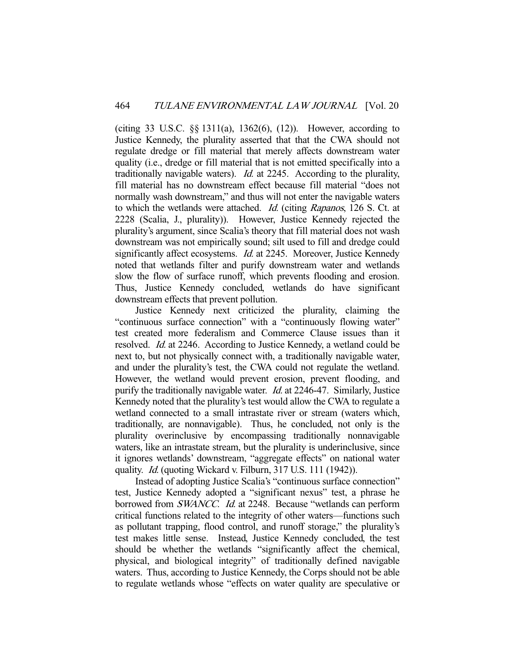(citing 33 U.S.C. §§ 1311(a), 1362(6), (12)). However, according to Justice Kennedy, the plurality asserted that that the CWA should not regulate dredge or fill material that merely affects downstream water quality (i.e., dredge or fill material that is not emitted specifically into a traditionally navigable waters). Id. at 2245. According to the plurality, fill material has no downstream effect because fill material "does not normally wash downstream," and thus will not enter the navigable waters to which the wetlands were attached. Id. (citing Rapanos, 126 S. Ct. at 2228 (Scalia, J., plurality)). However, Justice Kennedy rejected the plurality's argument, since Scalia's theory that fill material does not wash downstream was not empirically sound; silt used to fill and dredge could significantly affect ecosystems. *Id.* at 2245. Moreover, Justice Kennedy noted that wetlands filter and purify downstream water and wetlands slow the flow of surface runoff, which prevents flooding and erosion. Thus, Justice Kennedy concluded, wetlands do have significant downstream effects that prevent pollution.

 Justice Kennedy next criticized the plurality, claiming the "continuous surface connection" with a "continuously flowing water" test created more federalism and Commerce Clause issues than it resolved. Id. at 2246. According to Justice Kennedy, a wetland could be next to, but not physically connect with, a traditionally navigable water, and under the plurality's test, the CWA could not regulate the wetland. However, the wetland would prevent erosion, prevent flooding, and purify the traditionally navigable water. Id. at 2246-47. Similarly, Justice Kennedy noted that the plurality's test would allow the CWA to regulate a wetland connected to a small intrastate river or stream (waters which, traditionally, are nonnavigable). Thus, he concluded, not only is the plurality overinclusive by encompassing traditionally nonnavigable waters, like an intrastate stream, but the plurality is underinclusive, since it ignores wetlands' downstream, "aggregate effects" on national water quality. *Id.* (quoting Wickard v. Filburn, 317 U.S. 111 (1942)).

 Instead of adopting Justice Scalia's "continuous surface connection" test, Justice Kennedy adopted a "significant nexus" test, a phrase he borrowed from SWANCC. Id. at 2248. Because "wetlands can perform critical functions related to the integrity of other waters—functions such as pollutant trapping, flood control, and runoff storage," the plurality's test makes little sense. Instead, Justice Kennedy concluded, the test should be whether the wetlands "significantly affect the chemical, physical, and biological integrity" of traditionally defined navigable waters. Thus, according to Justice Kennedy, the Corps should not be able to regulate wetlands whose "effects on water quality are speculative or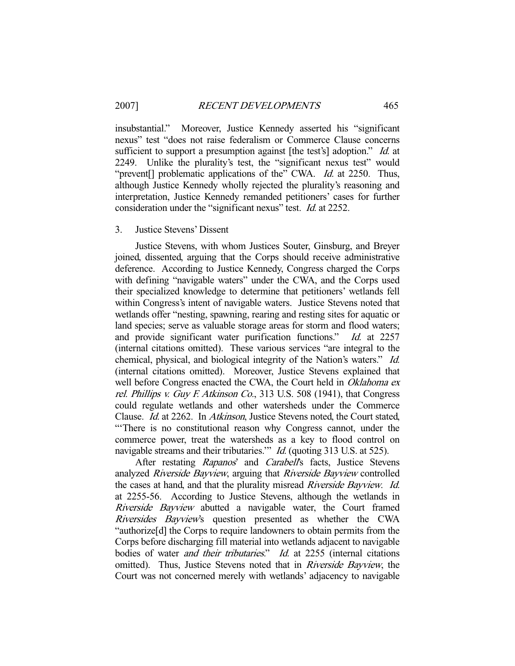insubstantial." Moreover, Justice Kennedy asserted his "significant nexus" test "does not raise federalism or Commerce Clause concerns sufficient to support a presumption against [the test's] adoption." Id. at 2249. Unlike the plurality's test, the "significant nexus test" would "prevent<sup>[]</sup> problematic applications of the" CWA. *Id.* at 2250. Thus, although Justice Kennedy wholly rejected the plurality's reasoning and interpretation, Justice Kennedy remanded petitioners' cases for further consideration under the "significant nexus" test. *Id.* at 2252.

#### 3. Justice Stevens' Dissent

 Justice Stevens, with whom Justices Souter, Ginsburg, and Breyer joined, dissented, arguing that the Corps should receive administrative deference. According to Justice Kennedy, Congress charged the Corps with defining "navigable waters" under the CWA, and the Corps used their specialized knowledge to determine that petitioners' wetlands fell within Congress's intent of navigable waters. Justice Stevens noted that wetlands offer "nesting, spawning, rearing and resting sites for aquatic or land species; serve as valuable storage areas for storm and flood waters; and provide significant water purification functions." Id. at 2257 (internal citations omitted). These various services "are integral to the chemical, physical, and biological integrity of the Nation's waters." Id. (internal citations omitted). Moreover, Justice Stevens explained that well before Congress enacted the CWA, the Court held in Oklahoma ex rel. Phillips v. Guy F. Atkinson Co., 313 U.S. 508 (1941), that Congress could regulate wetlands and other watersheds under the Commerce Clause. Id. at 2262. In Atkinson, Justice Stevens noted, the Court stated, "'There is no constitutional reason why Congress cannot, under the commerce power, treat the watersheds as a key to flood control on navigable streams and their tributaries." *Id.* (quoting 313 U.S. at 525).

After restating Rapanos' and Carabell's facts, Justice Stevens analyzed Riverside Bayview, arguing that Riverside Bayview controlled the cases at hand, and that the plurality misread Riverside Bayview. Id. at 2255-56. According to Justice Stevens, although the wetlands in Riverside Bayview abutted a navigable water, the Court framed Riversides Bayview's question presented as whether the CWA "authorize[d] the Corps to require landowners to obtain permits from the Corps before discharging fill material into wetlands adjacent to navigable bodies of water *and their tributaries.*" *Id.* at 2255 (internal citations omitted). Thus, Justice Stevens noted that in Riverside Bayview, the Court was not concerned merely with wetlands' adjacency to navigable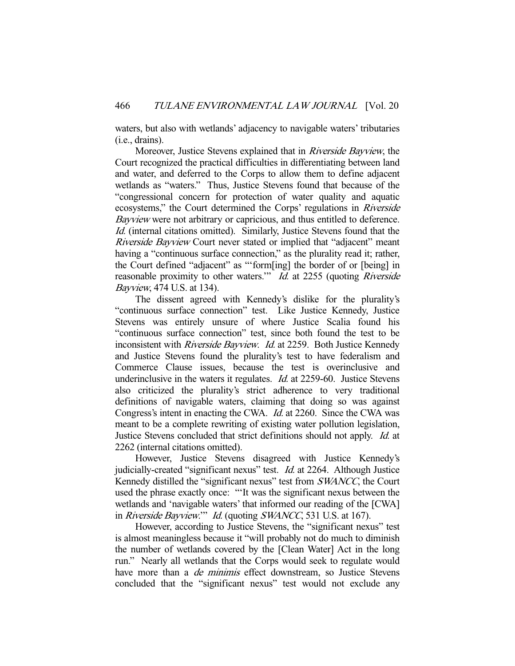waters, but also with wetlands' adjacency to navigable waters' tributaries (i.e., drains).

 Moreover, Justice Stevens explained that in Riverside Bayview, the Court recognized the practical difficulties in differentiating between land and water, and deferred to the Corps to allow them to define adjacent wetlands as "waters." Thus, Justice Stevens found that because of the "congressional concern for protection of water quality and aquatic ecosystems," the Court determined the Corps' regulations in Riverside Bayview were not arbitrary or capricious, and thus entitled to deference. Id. (internal citations omitted). Similarly, Justice Stevens found that the Riverside Bayview Court never stated or implied that "adjacent" meant having a "continuous surface connection," as the plurality read it; rather, the Court defined "adjacent" as "'form[ing] the border of or [being] in reasonable proximity to other waters." Id. at 2255 (quoting Riverside Bayview, 474 U.S. at 134).

 The dissent agreed with Kennedy's dislike for the plurality's "continuous surface connection" test. Like Justice Kennedy, Justice Stevens was entirely unsure of where Justice Scalia found his "continuous surface connection" test, since both found the test to be inconsistent with *Riverside Bayview. Id.* at 2259. Both Justice Kennedy and Justice Stevens found the plurality's test to have federalism and Commerce Clause issues, because the test is overinclusive and underinclusive in the waters it regulates. *Id.* at 2259-60. Justice Stevens also criticized the plurality's strict adherence to very traditional definitions of navigable waters, claiming that doing so was against Congress's intent in enacting the CWA. Id. at 2260. Since the CWA was meant to be a complete rewriting of existing water pollution legislation, Justice Stevens concluded that strict definitions should not apply. Id. at 2262 (internal citations omitted).

 However, Justice Stevens disagreed with Justice Kennedy's judicially-created "significant nexus" test. Id. at 2264. Although Justice Kennedy distilled the "significant nexus" test from SWANCC, the Court used the phrase exactly once: "'It was the significant nexus between the wetlands and 'navigable waters' that informed our reading of the [CWA] in Riverside Bayview."" Id. (quoting SWANCC, 531 U.S. at 167).

However, according to Justice Stevens, the "significant nexus" test is almost meaningless because it "will probably not do much to diminish the number of wetlands covered by the [Clean Water] Act in the long run." Nearly all wetlands that the Corps would seek to regulate would have more than a *de minimis* effect downstream, so Justice Stevens concluded that the "significant nexus" test would not exclude any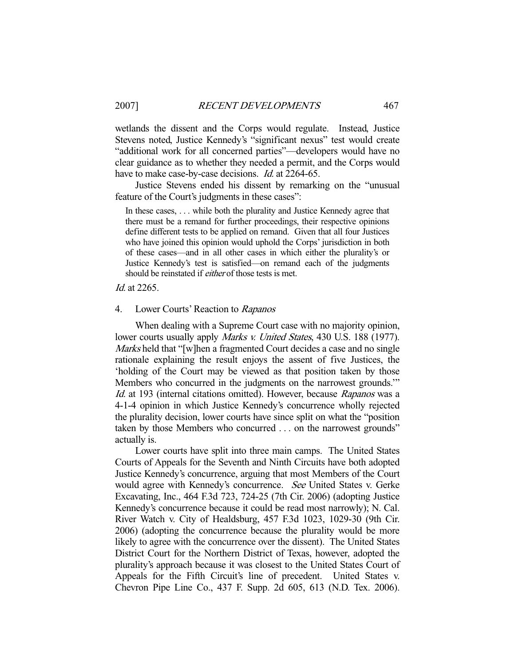wetlands the dissent and the Corps would regulate. Instead, Justice Stevens noted, Justice Kennedy's "significant nexus" test would create "additional work for all concerned parties"—developers would have no clear guidance as to whether they needed a permit, and the Corps would have to make case-by-case decisions. *Id.* at 2264-65.

 Justice Stevens ended his dissent by remarking on the "unusual feature of the Court's judgments in these cases":

In these cases, . . . while both the plurality and Justice Kennedy agree that there must be a remand for further proceedings, their respective opinions define different tests to be applied on remand. Given that all four Justices who have joined this opinion would uphold the Corps' jurisdiction in both of these cases—and in all other cases in which either the plurality's or Justice Kennedy's test is satisfied—on remand each of the judgments should be reinstated if *either* of those tests is met.

Id. at 2265.

# 4. Lower Courts' Reaction to Rapanos

 When dealing with a Supreme Court case with no majority opinion, lower courts usually apply *Marks v. United States*, 430 U.S. 188 (1977). Marks held that "[w]hen a fragmented Court decides a case and no single rationale explaining the result enjoys the assent of five Justices, the 'holding of the Court may be viewed as that position taken by those Members who concurred in the judgments on the narrowest grounds.'" Id. at 193 (internal citations omitted). However, because Rapanos was a 4-1-4 opinion in which Justice Kennedy's concurrence wholly rejected the plurality decision, lower courts have since split on what the "position taken by those Members who concurred . . . on the narrowest grounds" actually is.

 Lower courts have split into three main camps. The United States Courts of Appeals for the Seventh and Ninth Circuits have both adopted Justice Kennedy's concurrence, arguing that most Members of the Court would agree with Kennedy's concurrence. See United States v. Gerke Excavating, Inc., 464 F.3d 723, 724-25 (7th Cir. 2006) (adopting Justice Kennedy's concurrence because it could be read most narrowly); N. Cal. River Watch v. City of Healdsburg, 457 F.3d 1023, 1029-30 (9th Cir. 2006) (adopting the concurrence because the plurality would be more likely to agree with the concurrence over the dissent). The United States District Court for the Northern District of Texas, however, adopted the plurality's approach because it was closest to the United States Court of Appeals for the Fifth Circuit's line of precedent. United States v. Chevron Pipe Line Co., 437 F. Supp. 2d 605, 613 (N.D. Tex. 2006).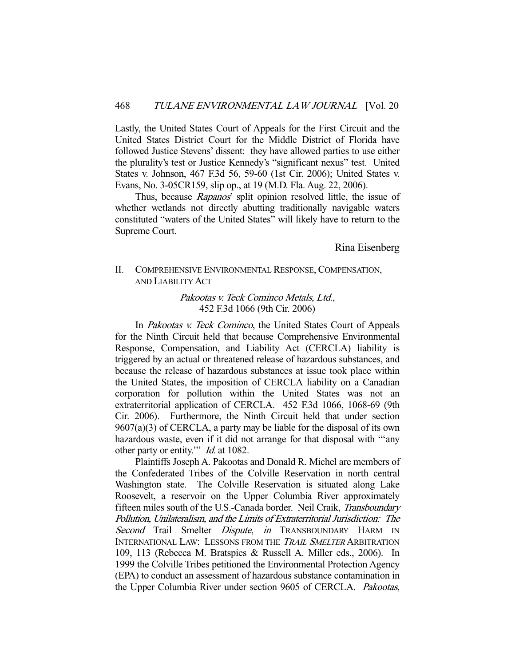Lastly, the United States Court of Appeals for the First Circuit and the United States District Court for the Middle District of Florida have followed Justice Stevens' dissent: they have allowed parties to use either the plurality's test or Justice Kennedy's "significant nexus" test. United States v. Johnson, 467 F.3d 56, 59-60 (1st Cir. 2006); United States v. Evans, No. 3-05CR159, slip op., at 19 (M.D. Fla. Aug. 22, 2006).

Thus, because *Rapanos*' split opinion resolved little, the issue of whether wetlands not directly abutting traditionally navigable waters constituted "waters of the United States" will likely have to return to the Supreme Court.

Rina Eisenberg

II. COMPREHENSIVE ENVIRONMENTAL RESPONSE, COMPENSATION, AND LIABILITY ACT

> Pakootas v. Teck Cominco Metals, Ltd., 452 F.3d 1066 (9th Cir. 2006)

In *Pakootas v. Teck Cominco*, the United States Court of Appeals for the Ninth Circuit held that because Comprehensive Environmental Response, Compensation, and Liability Act (CERCLA) liability is triggered by an actual or threatened release of hazardous substances, and because the release of hazardous substances at issue took place within the United States, the imposition of CERCLA liability on a Canadian corporation for pollution within the United States was not an extraterritorial application of CERCLA. 452 F.3d 1066, 1068-69 (9th Cir. 2006). Furthermore, the Ninth Circuit held that under section 9607(a)(3) of CERCLA, a party may be liable for the disposal of its own hazardous waste, even if it did not arrange for that disposal with "'any other party or entity.'" Id. at 1082.

 Plaintiffs Joseph A. Pakootas and Donald R. Michel are members of the Confederated Tribes of the Colville Reservation in north central Washington state. The Colville Reservation is situated along Lake Roosevelt, a reservoir on the Upper Columbia River approximately fifteen miles south of the U.S.-Canada border. Neil Craik, Transboundary Pollution, Unilateralism, and the Limits of Extraterritorial Jurisdiction: The Second Trail Smelter Dispute, in TRANSBOUNDARY HARM IN INTERNATIONAL LAW: LESSONS FROM THE TRAIL SMELTER ARBITRATION 109, 113 (Rebecca M. Bratspies & Russell A. Miller eds., 2006). In 1999 the Colville Tribes petitioned the Environmental Protection Agency (EPA) to conduct an assessment of hazardous substance contamination in the Upper Columbia River under section 9605 of CERCLA. Pakootas,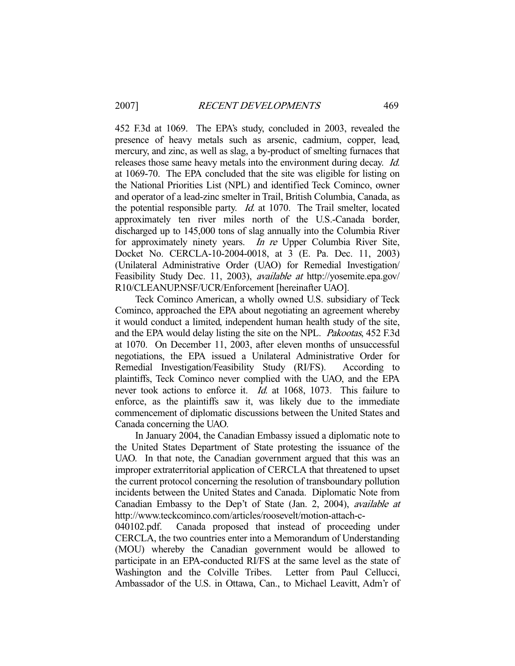452 F.3d at 1069. The EPA's study, concluded in 2003, revealed the presence of heavy metals such as arsenic, cadmium, copper, lead, mercury, and zinc, as well as slag, a by-product of smelting furnaces that releases those same heavy metals into the environment during decay. Id. at 1069-70. The EPA concluded that the site was eligible for listing on the National Priorities List (NPL) and identified Teck Cominco, owner and operator of a lead-zinc smelter in Trail, British Columbia, Canada, as the potential responsible party. Id. at 1070. The Trail smelter, located approximately ten river miles north of the U.S.-Canada border, discharged up to 145,000 tons of slag annually into the Columbia River for approximately ninety years. In re Upper Columbia River Site, Docket No. CERCLA-10-2004-0018, at 3 (E. Pa. Dec. 11, 2003) (Unilateral Administrative Order (UAO) for Remedial Investigation/ Feasibility Study Dec. 11, 2003), available at http://yosemite.epa.gov/ R10/CLEANUP.NSF/UCR/Enforcement [hereinafter UAO].

 Teck Cominco American, a wholly owned U.S. subsidiary of Teck Cominco, approached the EPA about negotiating an agreement whereby it would conduct a limited, independent human health study of the site, and the EPA would delay listing the site on the NPL. Pakootas, 452 F.3d at 1070. On December 11, 2003, after eleven months of unsuccessful negotiations, the EPA issued a Unilateral Administrative Order for Remedial Investigation/Feasibility Study (RI/FS). According to plaintiffs, Teck Cominco never complied with the UAO, and the EPA never took actions to enforce it. Id. at 1068, 1073. This failure to enforce, as the plaintiffs saw it, was likely due to the immediate commencement of diplomatic discussions between the United States and Canada concerning the UAO.

 In January 2004, the Canadian Embassy issued a diplomatic note to the United States Department of State protesting the issuance of the UAO. In that note, the Canadian government argued that this was an improper extraterritorial application of CERCLA that threatened to upset the current protocol concerning the resolution of transboundary pollution incidents between the United States and Canada. Diplomatic Note from Canadian Embassy to the Dep't of State (Jan. 2, 2004), available at http://www.teckcominco.com/articles/roosevelt/motion-attach-c-

040102.pdf. Canada proposed that instead of proceeding under CERCLA, the two countries enter into a Memorandum of Understanding (MOU) whereby the Canadian government would be allowed to participate in an EPA-conducted RI/FS at the same level as the state of Washington and the Colville Tribes. Letter from Paul Cellucci, Ambassador of the U.S. in Ottawa, Can., to Michael Leavitt, Adm'r of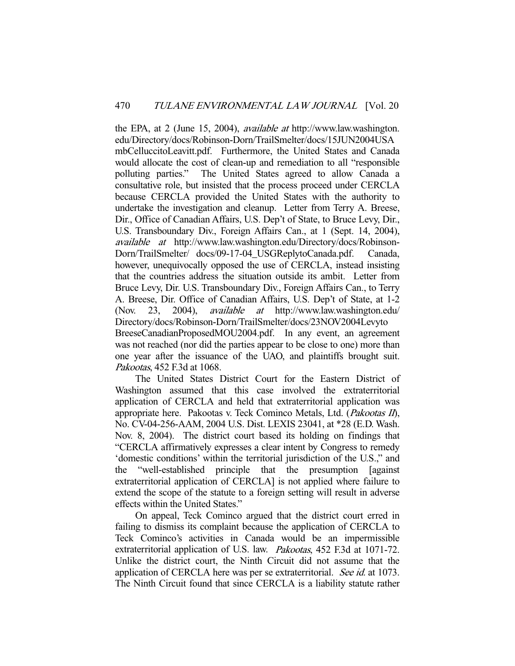the EPA, at 2 (June 15, 2004), available at http://www.law.washington. edu/Directory/docs/Robinson-Dorn/TrailSmelter/docs/15JUN2004USA mbCelluccitoLeavitt.pdf. Furthermore, the United States and Canada would allocate the cost of clean-up and remediation to all "responsible polluting parties." The United States agreed to allow Canada a consultative role, but insisted that the process proceed under CERCLA because CERCLA provided the United States with the authority to undertake the investigation and cleanup. Letter from Terry A. Breese, Dir., Office of Canadian Affairs, U.S. Dep't of State, to Bruce Levy, Dir., U.S. Transboundary Div., Foreign Affairs Can., at 1 (Sept. 14, 2004), available at http://www.law.washington.edu/Directory/docs/Robinson-Dorn/TrailSmelter/ docs/09-17-04\_USGReplytoCanada.pdf. Canada, however, unequivocally opposed the use of CERCLA, instead insisting that the countries address the situation outside its ambit. Letter from Bruce Levy, Dir. U.S. Transboundary Div., Foreign Affairs Can., to Terry A. Breese, Dir. Office of Canadian Affairs, U.S. Dep't of State, at 1-2 (Nov. 23, 2004), available at http://www.law.washington.edu/ Directory/docs/Robinson-Dorn/TrailSmelter/docs/23NOV2004Levyto BreeseCanadianProposedMOU2004.pdf. In any event, an agreement was not reached (nor did the parties appear to be close to one) more than one year after the issuance of the UAO, and plaintiffs brought suit. Pakootas, 452 F.3d at 1068.

 The United States District Court for the Eastern District of Washington assumed that this case involved the extraterritorial application of CERCLA and held that extraterritorial application was appropriate here. Pakootas v. Teck Cominco Metals, Ltd. (Pakootas II), No. CV-04-256-AAM, 2004 U.S. Dist. LEXIS 23041, at \*28 (E.D. Wash. Nov. 8, 2004). The district court based its holding on findings that "CERCLA affirmatively expresses a clear intent by Congress to remedy 'domestic conditions' within the territorial jurisdiction of the U.S.," and the "well-established principle that the presumption [against extraterritorial application of CERCLA] is not applied where failure to extend the scope of the statute to a foreign setting will result in adverse effects within the United States."

 On appeal, Teck Cominco argued that the district court erred in failing to dismiss its complaint because the application of CERCLA to Teck Cominco's activities in Canada would be an impermissible extraterritorial application of U.S. law. Pakootas, 452 F.3d at 1071-72. Unlike the district court, the Ninth Circuit did not assume that the application of CERCLA here was per se extraterritorial. See id. at 1073. The Ninth Circuit found that since CERCLA is a liability statute rather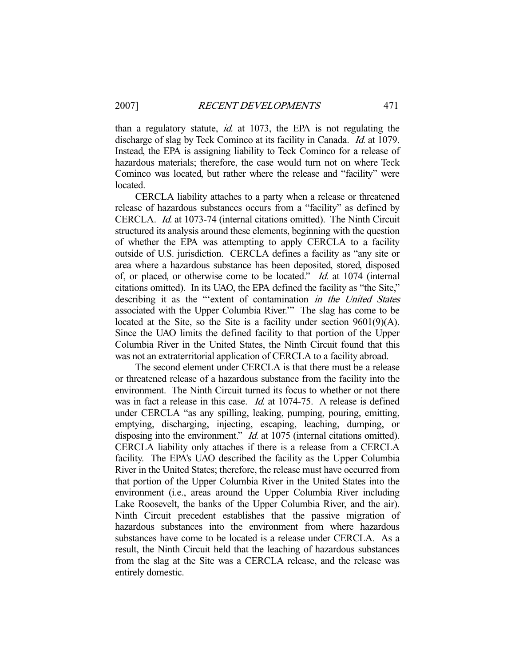than a regulatory statute, *id.* at 1073, the EPA is not regulating the discharge of slag by Teck Cominco at its facility in Canada. *Id.* at 1079. Instead, the EPA is assigning liability to Teck Cominco for a release of hazardous materials; therefore, the case would turn not on where Teck Cominco was located, but rather where the release and "facility" were located.

 CERCLA liability attaches to a party when a release or threatened release of hazardous substances occurs from a "facility" as defined by CERCLA. Id. at 1073-74 (internal citations omitted). The Ninth Circuit structured its analysis around these elements, beginning with the question of whether the EPA was attempting to apply CERCLA to a facility outside of U.S. jurisdiction. CERCLA defines a facility as "any site or area where a hazardous substance has been deposited, stored, disposed of, or placed, or otherwise come to be located." Id. at 1074 (internal citations omitted). In its UAO, the EPA defined the facility as "the Site," describing it as the "'extent of contamination in the United States associated with the Upper Columbia River.'" The slag has come to be located at the Site, so the Site is a facility under section 9601(9)(A). Since the UAO limits the defined facility to that portion of the Upper Columbia River in the United States, the Ninth Circuit found that this was not an extraterritorial application of CERCLA to a facility abroad.

 The second element under CERCLA is that there must be a release or threatened release of a hazardous substance from the facility into the environment. The Ninth Circuit turned its focus to whether or not there was in fact a release in this case. *Id.* at 1074-75. A release is defined under CERCLA "as any spilling, leaking, pumping, pouring, emitting, emptying, discharging, injecting, escaping, leaching, dumping, or disposing into the environment." *Id.* at 1075 (internal citations omitted). CERCLA liability only attaches if there is a release from a CERCLA facility. The EPA's UAO described the facility as the Upper Columbia River in the United States; therefore, the release must have occurred from that portion of the Upper Columbia River in the United States into the environment (i.e., areas around the Upper Columbia River including Lake Roosevelt, the banks of the Upper Columbia River, and the air). Ninth Circuit precedent establishes that the passive migration of hazardous substances into the environment from where hazardous substances have come to be located is a release under CERCLA. As a result, the Ninth Circuit held that the leaching of hazardous substances from the slag at the Site was a CERCLA release, and the release was entirely domestic.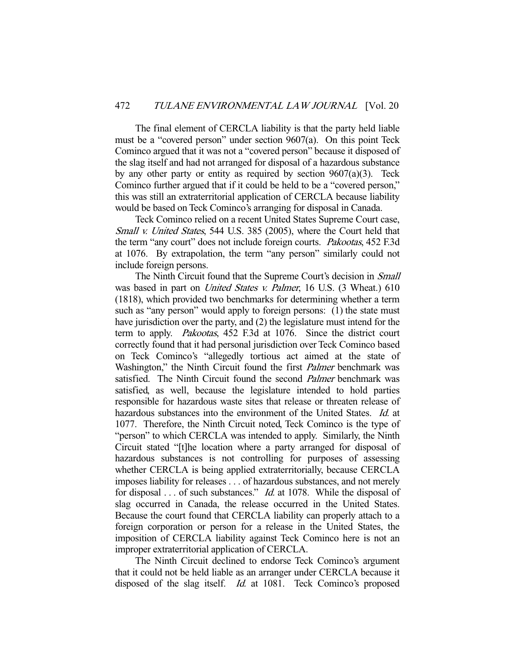The final element of CERCLA liability is that the party held liable must be a "covered person" under section 9607(a). On this point Teck Cominco argued that it was not a "covered person" because it disposed of the slag itself and had not arranged for disposal of a hazardous substance by any other party or entity as required by section  $9607(a)(3)$ . Teck Cominco further argued that if it could be held to be a "covered person," this was still an extraterritorial application of CERCLA because liability would be based on Teck Cominco's arranging for disposal in Canada.

 Teck Cominco relied on a recent United States Supreme Court case, Small v. United States, 544 U.S. 385 (2005), where the Court held that the term "any court" does not include foreign courts. Pakootas, 452 F.3d at 1076. By extrapolation, the term "any person" similarly could not include foreign persons.

The Ninth Circuit found that the Supreme Court's decision in *Small* was based in part on *United States v. Palmer*, 16 U.S. (3 Wheat.) 610 (1818), which provided two benchmarks for determining whether a term such as "any person" would apply to foreign persons: (1) the state must have jurisdiction over the party, and (2) the legislature must intend for the term to apply. Pakootas, 452 F.3d at 1076. Since the district court correctly found that it had personal jurisdiction over Teck Cominco based on Teck Cominco's "allegedly tortious act aimed at the state of Washington," the Ninth Circuit found the first *Palmer* benchmark was satisfied. The Ninth Circuit found the second *Palmer* benchmark was satisfied, as well, because the legislature intended to hold parties responsible for hazardous waste sites that release or threaten release of hazardous substances into the environment of the United States. *Id.* at 1077. Therefore, the Ninth Circuit noted, Teck Cominco is the type of "person" to which CERCLA was intended to apply. Similarly, the Ninth Circuit stated "[t]he location where a party arranged for disposal of hazardous substances is not controlling for purposes of assessing whether CERCLA is being applied extraterritorially, because CERCLA imposes liability for releases . . . of hazardous substances, and not merely for disposal . . . of such substances." *Id.* at 1078. While the disposal of slag occurred in Canada, the release occurred in the United States. Because the court found that CERCLA liability can properly attach to a foreign corporation or person for a release in the United States, the imposition of CERCLA liability against Teck Cominco here is not an improper extraterritorial application of CERCLA.

 The Ninth Circuit declined to endorse Teck Cominco's argument that it could not be held liable as an arranger under CERCLA because it disposed of the slag itself. *Id.* at 1081. Teck Cominco's proposed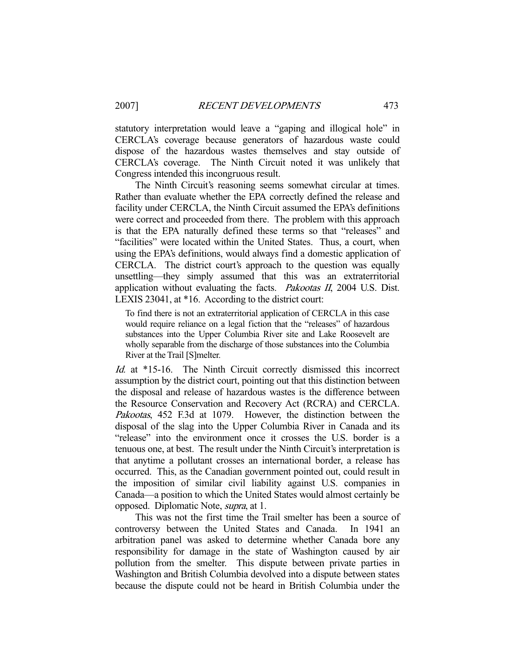statutory interpretation would leave a "gaping and illogical hole" in CERCLA's coverage because generators of hazardous waste could dispose of the hazardous wastes themselves and stay outside of CERCLA's coverage. The Ninth Circuit noted it was unlikely that Congress intended this incongruous result.

 The Ninth Circuit's reasoning seems somewhat circular at times. Rather than evaluate whether the EPA correctly defined the release and facility under CERCLA, the Ninth Circuit assumed the EPA's definitions were correct and proceeded from there. The problem with this approach is that the EPA naturally defined these terms so that "releases" and "facilities" were located within the United States. Thus, a court, when using the EPA's definitions, would always find a domestic application of CERCLA. The district court's approach to the question was equally unsettling—they simply assumed that this was an extraterritorial application without evaluating the facts. Pakootas II, 2004 U.S. Dist. LEXIS 23041, at \*16. According to the district court:

To find there is not an extraterritorial application of CERCLA in this case would require reliance on a legal fiction that the "releases" of hazardous substances into the Upper Columbia River site and Lake Roosevelt are wholly separable from the discharge of those substances into the Columbia River at the Trail [S]melter.

Id. at \*15-16. The Ninth Circuit correctly dismissed this incorrect assumption by the district court, pointing out that this distinction between the disposal and release of hazardous wastes is the difference between the Resource Conservation and Recovery Act (RCRA) and CERCLA. Pakootas, 452 F.3d at 1079. However, the distinction between the disposal of the slag into the Upper Columbia River in Canada and its "release" into the environment once it crosses the U.S. border is a tenuous one, at best. The result under the Ninth Circuit's interpretation is that anytime a pollutant crosses an international border, a release has occurred. This, as the Canadian government pointed out, could result in the imposition of similar civil liability against U.S. companies in Canada—a position to which the United States would almost certainly be opposed. Diplomatic Note, supra, at 1.

 This was not the first time the Trail smelter has been a source of controversy between the United States and Canada. In 1941 an arbitration panel was asked to determine whether Canada bore any responsibility for damage in the state of Washington caused by air pollution from the smelter. This dispute between private parties in Washington and British Columbia devolved into a dispute between states because the dispute could not be heard in British Columbia under the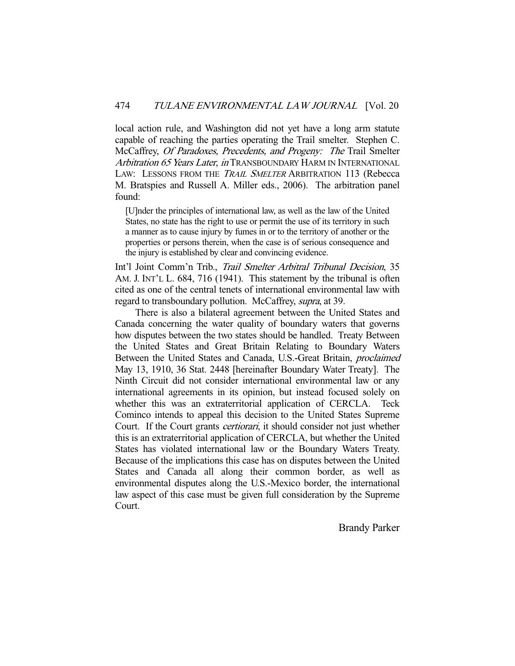local action rule, and Washington did not yet have a long arm statute capable of reaching the parties operating the Trail smelter. Stephen C. McCaffrey, Of Paradoxes, Precedents, and Progeny: The Trail Smelter Arbitration 65 Years Later, in TRANSBOUNDARY HARM IN INTERNATIONAL LAW: LESSONS FROM THE *TRAIL SMELTER* ARBITRATION 113 (Rebecca M. Bratspies and Russell A. Miller eds., 2006). The arbitration panel found:

[U]nder the principles of international law, as well as the law of the United States, no state has the right to use or permit the use of its territory in such a manner as to cause injury by fumes in or to the territory of another or the properties or persons therein, when the case is of serious consequence and the injury is established by clear and convincing evidence.

Int'l Joint Comm'n Trib., Trail Smelter Arbitral Tribunal Decision, 35 AM. J. INT'L L. 684, 716 (1941). This statement by the tribunal is often cited as one of the central tenets of international environmental law with regard to transboundary pollution. McCaffrey, *supra*, at 39.

 There is also a bilateral agreement between the United States and Canada concerning the water quality of boundary waters that governs how disputes between the two states should be handled. Treaty Between the United States and Great Britain Relating to Boundary Waters Between the United States and Canada, U.S.-Great Britain, proclaimed May 13, 1910, 36 Stat. 2448 [hereinafter Boundary Water Treaty]. The Ninth Circuit did not consider international environmental law or any international agreements in its opinion, but instead focused solely on whether this was an extraterritorial application of CERCLA. Teck Cominco intends to appeal this decision to the United States Supreme Court. If the Court grants *certiorari*, it should consider not just whether this is an extraterritorial application of CERCLA, but whether the United States has violated international law or the Boundary Waters Treaty. Because of the implications this case has on disputes between the United States and Canada all along their common border, as well as environmental disputes along the U.S.-Mexico border, the international law aspect of this case must be given full consideration by the Supreme Court.

Brandy Parker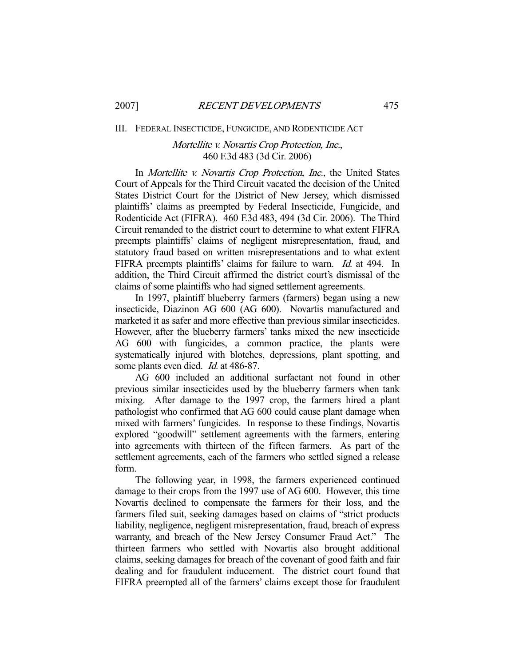#### III. FEDERAL INSECTICIDE, FUNGICIDE, AND RODENTICIDE ACT

# Mortellite v. Novartis Crop Protection, Inc., 460 F.3d 483 (3d Cir. 2006)

In *Mortellite v. Novartis Crop Protection, Inc.*, the United States Court of Appeals for the Third Circuit vacated the decision of the United States District Court for the District of New Jersey, which dismissed plaintiffs' claims as preempted by Federal Insecticide, Fungicide, and Rodenticide Act (FIFRA). 460 F.3d 483, 494 (3d Cir. 2006). The Third Circuit remanded to the district court to determine to what extent FIFRA preempts plaintiffs' claims of negligent misrepresentation, fraud, and statutory fraud based on written misrepresentations and to what extent FIFRA preempts plaintiffs' claims for failure to warn. *Id.* at 494. In addition, the Third Circuit affirmed the district court's dismissal of the claims of some plaintiffs who had signed settlement agreements.

 In 1997, plaintiff blueberry farmers (farmers) began using a new insecticide, Diazinon AG 600 (AG 600). Novartis manufactured and marketed it as safer and more effective than previous similar insecticides. However, after the blueberry farmers' tanks mixed the new insecticide AG 600 with fungicides, a common practice, the plants were systematically injured with blotches, depressions, plant spotting, and some plants even died. *Id.* at 486-87.

 AG 600 included an additional surfactant not found in other previous similar insecticides used by the blueberry farmers when tank mixing. After damage to the 1997 crop, the farmers hired a plant pathologist who confirmed that AG 600 could cause plant damage when mixed with farmers' fungicides. In response to these findings, Novartis explored "goodwill" settlement agreements with the farmers, entering into agreements with thirteen of the fifteen farmers. As part of the settlement agreements, each of the farmers who settled signed a release form.

 The following year, in 1998, the farmers experienced continued damage to their crops from the 1997 use of AG 600. However, this time Novartis declined to compensate the farmers for their loss, and the farmers filed suit, seeking damages based on claims of "strict products liability, negligence, negligent misrepresentation, fraud, breach of express warranty, and breach of the New Jersey Consumer Fraud Act." The thirteen farmers who settled with Novartis also brought additional claims, seeking damages for breach of the covenant of good faith and fair dealing and for fraudulent inducement. The district court found that FIFRA preempted all of the farmers' claims except those for fraudulent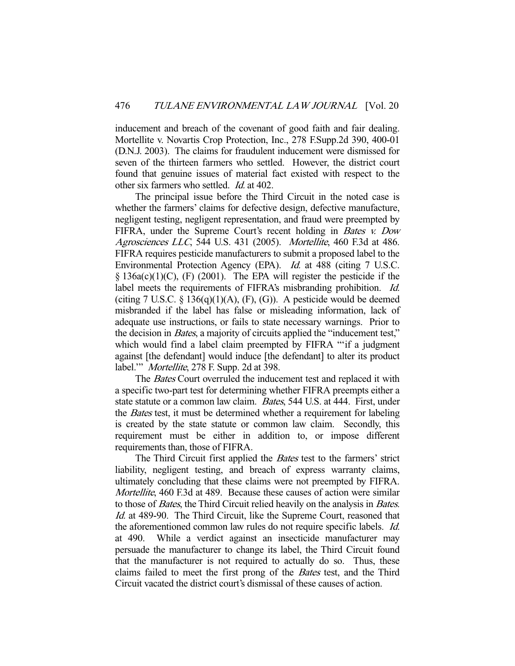inducement and breach of the covenant of good faith and fair dealing. Mortellite v. Novartis Crop Protection, Inc., 278 F.Supp.2d 390, 400-01 (D.N.J. 2003). The claims for fraudulent inducement were dismissed for seven of the thirteen farmers who settled. However, the district court found that genuine issues of material fact existed with respect to the other six farmers who settled. Id. at 402.

 The principal issue before the Third Circuit in the noted case is whether the farmers' claims for defective design, defective manufacture, negligent testing, negligent representation, and fraud were preempted by FIFRA, under the Supreme Court's recent holding in *Bates v. Dow* Agrosciences LLC, 544 U.S. 431 (2005). Mortellite, 460 F.3d at 486. FIFRA requires pesticide manufacturers to submit a proposed label to the Environmental Protection Agency (EPA). Id. at 488 (citing 7 U.S.C.  $\S$  136a(c)(1)(C), (F) (2001). The EPA will register the pesticide if the label meets the requirements of FIFRA's misbranding prohibition. *Id.* (citing 7 U.S.C.  $\S$  136(q)(1)(A), (F), (G)). A pesticide would be deemed misbranded if the label has false or misleading information, lack of adequate use instructions, or fails to state necessary warnings. Prior to the decision in *Bates*, a majority of circuits applied the "inducement test," which would find a label claim preempted by FIFRA ""if a judgment against [the defendant] would induce [the defendant] to alter its product label." Mortellite, 278 F. Supp. 2d at 398.

The *Bates* Court overruled the inducement test and replaced it with a specific two-part test for determining whether FIFRA preempts either a state statute or a common law claim. Bates, 544 U.S. at 444. First, under the Bates test, it must be determined whether a requirement for labeling is created by the state statute or common law claim. Secondly, this requirement must be either in addition to, or impose different requirements than, those of FIFRA.

 The Third Circuit first applied the Bates test to the farmers' strict liability, negligent testing, and breach of express warranty claims, ultimately concluding that these claims were not preempted by FIFRA. Mortellite, 460 F.3d at 489. Because these causes of action were similar to those of Bates, the Third Circuit relied heavily on the analysis in Bates. Id. at 489-90. The Third Circuit, like the Supreme Court, reasoned that the aforementioned common law rules do not require specific labels. Id. at 490. While a verdict against an insecticide manufacturer may persuade the manufacturer to change its label, the Third Circuit found that the manufacturer is not required to actually do so. Thus, these claims failed to meet the first prong of the Bates test, and the Third Circuit vacated the district court's dismissal of these causes of action.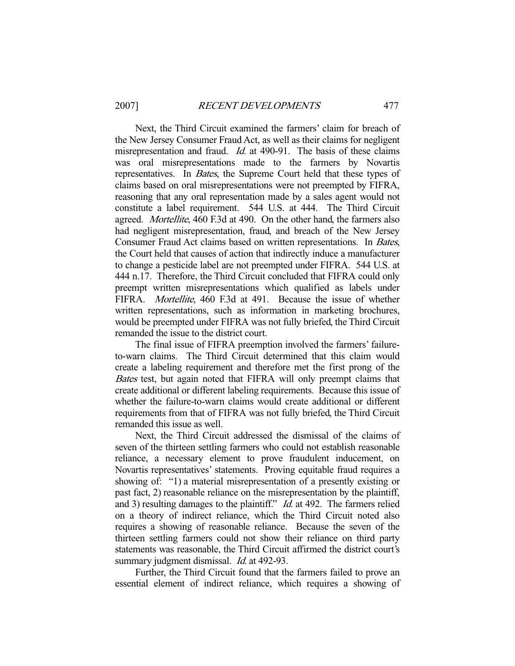Next, the Third Circuit examined the farmers' claim for breach of the New Jersey Consumer Fraud Act, as well as their claims for negligent misrepresentation and fraud. *Id.* at 490-91. The basis of these claims was oral misrepresentations made to the farmers by Novartis representatives. In Bates, the Supreme Court held that these types of claims based on oral misrepresentations were not preempted by FIFRA, reasoning that any oral representation made by a sales agent would not constitute a label requirement. 544 U.S. at 444. The Third Circuit agreed. Mortellite, 460 F.3d at 490. On the other hand, the farmers also had negligent misrepresentation, fraud, and breach of the New Jersey Consumer Fraud Act claims based on written representations. In Bates, the Court held that causes of action that indirectly induce a manufacturer to change a pesticide label are not preempted under FIFRA. 544 U.S. at 444 n.17. Therefore, the Third Circuit concluded that FIFRA could only preempt written misrepresentations which qualified as labels under FIFRA. *Mortellite*, 460 F.3d at 491. Because the issue of whether written representations, such as information in marketing brochures, would be preempted under FIFRA was not fully briefed, the Third Circuit remanded the issue to the district court.

 The final issue of FIFRA preemption involved the farmers' failureto-warn claims. The Third Circuit determined that this claim would create a labeling requirement and therefore met the first prong of the Bates test, but again noted that FIFRA will only preempt claims that create additional or different labeling requirements. Because this issue of whether the failure-to-warn claims would create additional or different requirements from that of FIFRA was not fully briefed, the Third Circuit remanded this issue as well.

 Next, the Third Circuit addressed the dismissal of the claims of seven of the thirteen settling farmers who could not establish reasonable reliance, a necessary element to prove fraudulent inducement, on Novartis representatives' statements. Proving equitable fraud requires a showing of: "1) a material misrepresentation of a presently existing or past fact, 2) reasonable reliance on the misrepresentation by the plaintiff, and 3) resulting damages to the plaintiff." *Id.* at 492. The farmers relied on a theory of indirect reliance, which the Third Circuit noted also requires a showing of reasonable reliance. Because the seven of the thirteen settling farmers could not show their reliance on third party statements was reasonable, the Third Circuit affirmed the district court's summary judgment dismissal. *Id.* at 492-93.

 Further, the Third Circuit found that the farmers failed to prove an essential element of indirect reliance, which requires a showing of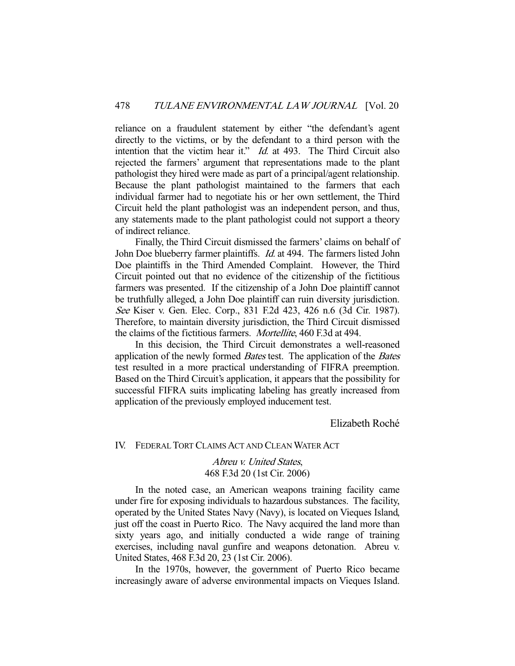reliance on a fraudulent statement by either "the defendant's agent directly to the victims, or by the defendant to a third person with the intention that the victim hear it."  $Id$  at 493. The Third Circuit also rejected the farmers' argument that representations made to the plant pathologist they hired were made as part of a principal/agent relationship. Because the plant pathologist maintained to the farmers that each individual farmer had to negotiate his or her own settlement, the Third Circuit held the plant pathologist was an independent person, and thus, any statements made to the plant pathologist could not support a theory of indirect reliance.

 Finally, the Third Circuit dismissed the farmers' claims on behalf of John Doe blueberry farmer plaintiffs. *Id.* at 494. The farmers listed John Doe plaintiffs in the Third Amended Complaint. However, the Third Circuit pointed out that no evidence of the citizenship of the fictitious farmers was presented. If the citizenship of a John Doe plaintiff cannot be truthfully alleged, a John Doe plaintiff can ruin diversity jurisdiction. See Kiser v. Gen. Elec. Corp., 831 F.2d 423, 426 n.6 (3d Cir. 1987). Therefore, to maintain diversity jurisdiction, the Third Circuit dismissed the claims of the fictitious farmers. Mortellite, 460 F.3d at 494.

 In this decision, the Third Circuit demonstrates a well-reasoned application of the newly formed Bates test. The application of the Bates test resulted in a more practical understanding of FIFRA preemption. Based on the Third Circuit's application, it appears that the possibility for successful FIFRA suits implicating labeling has greatly increased from application of the previously employed inducement test.

Elizabeth Roché

IV. FEDERAL TORT CLAIMS ACT AND CLEAN WATER ACT

Abreu v. United States, 468 F.3d 20 (1st Cir. 2006)

 In the noted case, an American weapons training facility came under fire for exposing individuals to hazardous substances. The facility, operated by the United States Navy (Navy), is located on Vieques Island, just off the coast in Puerto Rico. The Navy acquired the land more than sixty years ago, and initially conducted a wide range of training exercises, including naval gunfire and weapons detonation. Abreu v. United States, 468 F.3d 20, 23 (1st Cir. 2006).

 In the 1970s, however, the government of Puerto Rico became increasingly aware of adverse environmental impacts on Vieques Island.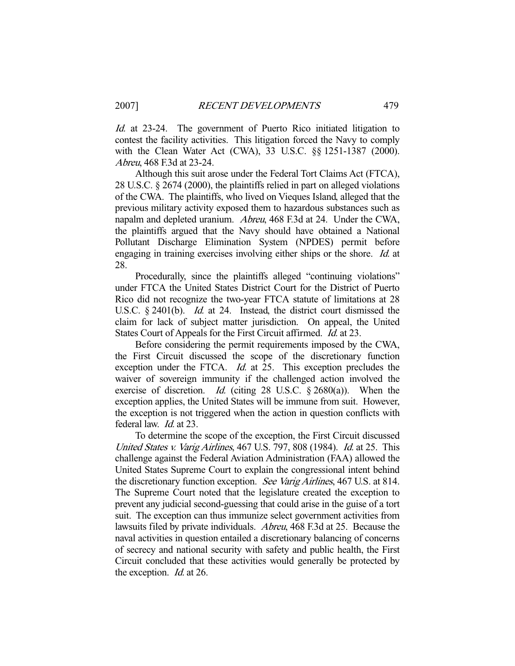Id. at 23-24. The government of Puerto Rico initiated litigation to contest the facility activities. This litigation forced the Navy to comply with the Clean Water Act (CWA), 33 U.S.C. §§ 1251-1387 (2000). Abreu, 468 F.3d at 23-24.

 Although this suit arose under the Federal Tort Claims Act (FTCA), 28 U.S.C. § 2674 (2000), the plaintiffs relied in part on alleged violations of the CWA. The plaintiffs, who lived on Vieques Island, alleged that the previous military activity exposed them to hazardous substances such as napalm and depleted uranium. Abreu, 468 F.3d at 24. Under the CWA, the plaintiffs argued that the Navy should have obtained a National Pollutant Discharge Elimination System (NPDES) permit before engaging in training exercises involving either ships or the shore. Id. at 28.

 Procedurally, since the plaintiffs alleged "continuing violations" under FTCA the United States District Court for the District of Puerto Rico did not recognize the two-year FTCA statute of limitations at 28 U.S.C. § 2401(b). *Id.* at 24. Instead, the district court dismissed the claim for lack of subject matter jurisdiction. On appeal, the United States Court of Appeals for the First Circuit affirmed. Id. at 23.

 Before considering the permit requirements imposed by the CWA, the First Circuit discussed the scope of the discretionary function exception under the FTCA. *Id.* at 25. This exception precludes the waiver of sovereign immunity if the challenged action involved the exercise of discretion. *Id.* (citing 28 U.S.C.  $\S$  2680(a)). When the exception applies, the United States will be immune from suit. However, the exception is not triggered when the action in question conflicts with federal law. Id. at 23.

 To determine the scope of the exception, the First Circuit discussed United States v. Varig Airlines, 467 U.S. 797, 808 (1984). Id. at 25. This challenge against the Federal Aviation Administration (FAA) allowed the United States Supreme Court to explain the congressional intent behind the discretionary function exception. See Varig Airlines, 467 U.S. at 814. The Supreme Court noted that the legislature created the exception to prevent any judicial second-guessing that could arise in the guise of a tort suit. The exception can thus immunize select government activities from lawsuits filed by private individuals. Abreu, 468 F.3d at 25. Because the naval activities in question entailed a discretionary balancing of concerns of secrecy and national security with safety and public health, the First Circuit concluded that these activities would generally be protected by the exception. *Id.* at 26.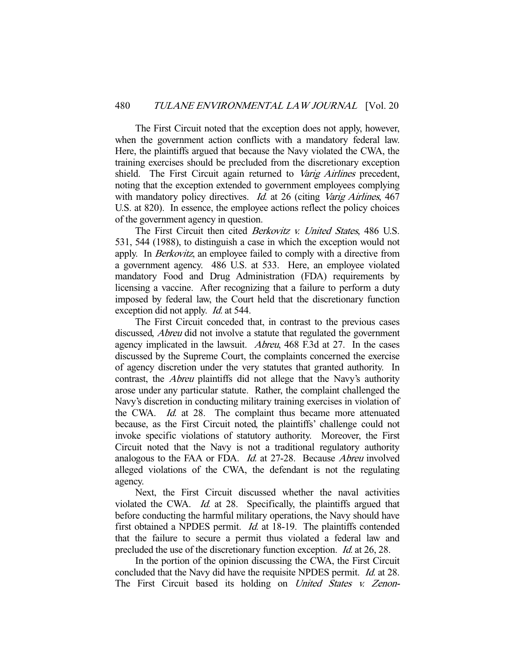The First Circuit noted that the exception does not apply, however, when the government action conflicts with a mandatory federal law. Here, the plaintiffs argued that because the Navy violated the CWA, the training exercises should be precluded from the discretionary exception shield. The First Circuit again returned to Varig Airlines precedent, noting that the exception extended to government employees complying with mandatory policy directives. *Id.* at 26 (citing *Varig Airlines*, 467) U.S. at 820). In essence, the employee actions reflect the policy choices of the government agency in question.

The First Circuit then cited *Berkovitz v. United States*, 486 U.S. 531, 544 (1988), to distinguish a case in which the exception would not apply. In *Berkovitz*, an employee failed to comply with a directive from a government agency. 486 U.S. at 533. Here, an employee violated mandatory Food and Drug Administration (FDA) requirements by licensing a vaccine. After recognizing that a failure to perform a duty imposed by federal law, the Court held that the discretionary function exception did not apply. *Id.* at 544.

 The First Circuit conceded that, in contrast to the previous cases discussed, Abreu did not involve a statute that regulated the government agency implicated in the lawsuit. Abreu, 468 F.3d at 27. In the cases discussed by the Supreme Court, the complaints concerned the exercise of agency discretion under the very statutes that granted authority. In contrast, the Abreu plaintiffs did not allege that the Navy's authority arose under any particular statute. Rather, the complaint challenged the Navy's discretion in conducting military training exercises in violation of the CWA. Id. at 28. The complaint thus became more attenuated because, as the First Circuit noted, the plaintiffs' challenge could not invoke specific violations of statutory authority. Moreover, the First Circuit noted that the Navy is not a traditional regulatory authority analogous to the FAA or FDA. Id. at 27-28. Because Abreu involved alleged violations of the CWA, the defendant is not the regulating agency.

 Next, the First Circuit discussed whether the naval activities violated the CWA. Id. at 28. Specifically, the plaintiffs argued that before conducting the harmful military operations, the Navy should have first obtained a NPDES permit. *Id.* at 18-19. The plaintiffs contended that the failure to secure a permit thus violated a federal law and precluded the use of the discretionary function exception. Id. at 26, 28.

 In the portion of the opinion discussing the CWA, the First Circuit concluded that the Navy did have the requisite NPDES permit. Id. at 28. The First Circuit based its holding on *United States v. Zenon*-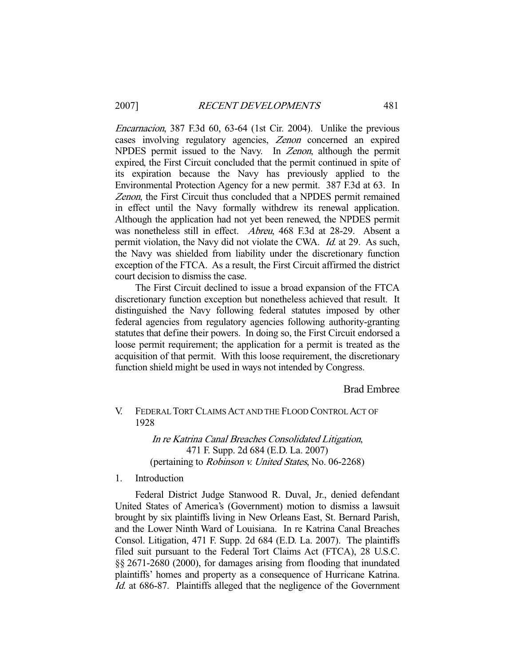Encarnacion, 387 F.3d 60, 63-64 (1st Cir. 2004). Unlike the previous cases involving regulatory agencies, Zenon concerned an expired NPDES permit issued to the Navy. In Zenon, although the permit expired, the First Circuit concluded that the permit continued in spite of its expiration because the Navy has previously applied to the Environmental Protection Agency for a new permit. 387 F.3d at 63. In Zenon, the First Circuit thus concluded that a NPDES permit remained in effect until the Navy formally withdrew its renewal application. Although the application had not yet been renewed, the NPDES permit was nonetheless still in effect. Abreu, 468 F.3d at 28-29. Absent a permit violation, the Navy did not violate the CWA. Id. at 29. As such, the Navy was shielded from liability under the discretionary function exception of the FTCA. As a result, the First Circuit affirmed the district court decision to dismiss the case.

 The First Circuit declined to issue a broad expansion of the FTCA discretionary function exception but nonetheless achieved that result. It distinguished the Navy following federal statutes imposed by other federal agencies from regulatory agencies following authority-granting statutes that define their powers. In doing so, the First Circuit endorsed a loose permit requirement; the application for a permit is treated as the acquisition of that permit. With this loose requirement, the discretionary function shield might be used in ways not intended by Congress.

## Brad Embree

# V. FEDERAL TORT CLAIMS ACT AND THE FLOOD CONTROL ACT OF 1928

In re Katrina Canal Breaches Consolidated Litigation, 471 F. Supp. 2d 684 (E.D. La. 2007) (pertaining to Robinson v. United States, No. 06-2268)

#### 1. Introduction

 Federal District Judge Stanwood R. Duval, Jr., denied defendant United States of America's (Government) motion to dismiss a lawsuit brought by six plaintiffs living in New Orleans East, St. Bernard Parish, and the Lower Ninth Ward of Louisiana. In re Katrina Canal Breaches Consol. Litigation, 471 F. Supp. 2d 684 (E.D. La. 2007). The plaintiffs filed suit pursuant to the Federal Tort Claims Act (FTCA), 28 U.S.C. §§ 2671-2680 (2000), for damages arising from flooding that inundated plaintiffs' homes and property as a consequence of Hurricane Katrina. Id. at 686-87. Plaintiffs alleged that the negligence of the Government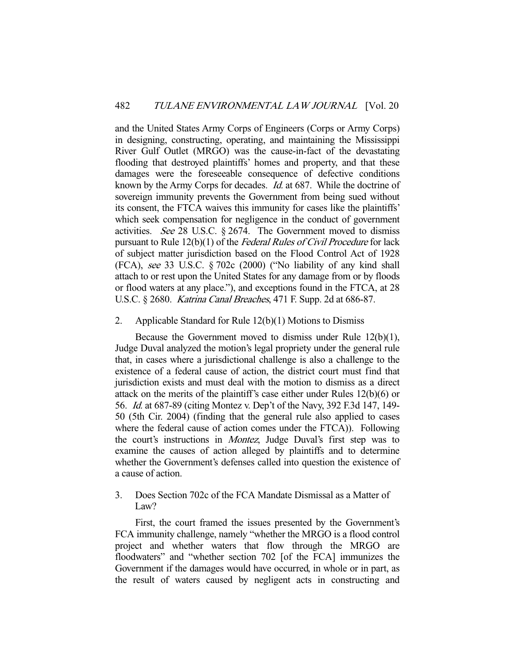and the United States Army Corps of Engineers (Corps or Army Corps) in designing, constructing, operating, and maintaining the Mississippi River Gulf Outlet (MRGO) was the cause-in-fact of the devastating flooding that destroyed plaintiffs' homes and property, and that these damages were the foreseeable consequence of defective conditions known by the Army Corps for decades. *Id.* at 687. While the doctrine of sovereign immunity prevents the Government from being sued without its consent, the FTCA waives this immunity for cases like the plaintiffs' which seek compensation for negligence in the conduct of government activities. See 28 U.S.C. § 2674. The Government moved to dismiss pursuant to Rule 12(b)(1) of the *Federal Rules of Civil Procedure* for lack of subject matter jurisdiction based on the Flood Control Act of 1928 (FCA), see 33 U.S.C. § 702c (2000) ("No liability of any kind shall attach to or rest upon the United States for any damage from or by floods or flood waters at any place."), and exceptions found in the FTCA, at 28 U.S.C. § 2680. Katrina Canal Breaches, 471 F. Supp. 2d at 686-87.

## 2. Applicable Standard for Rule 12(b)(1) Motions to Dismiss

 Because the Government moved to dismiss under Rule 12(b)(1), Judge Duval analyzed the motion's legal propriety under the general rule that, in cases where a jurisdictional challenge is also a challenge to the existence of a federal cause of action, the district court must find that jurisdiction exists and must deal with the motion to dismiss as a direct attack on the merits of the plaintiff's case either under Rules 12(b)(6) or 56. Id. at 687-89 (citing Montez v. Dep't of the Navy, 392 F.3d 147, 149- 50 (5th Cir. 2004) (finding that the general rule also applied to cases where the federal cause of action comes under the FTCA)). Following the court's instructions in Montez, Judge Duval's first step was to examine the causes of action alleged by plaintiffs and to determine whether the Government's defenses called into question the existence of a cause of action.

# 3. Does Section 702c of the FCA Mandate Dismissal as a Matter of Law?

 First, the court framed the issues presented by the Government's FCA immunity challenge, namely "whether the MRGO is a flood control project and whether waters that flow through the MRGO are floodwaters" and "whether section 702 [of the FCA] immunizes the Government if the damages would have occurred, in whole or in part, as the result of waters caused by negligent acts in constructing and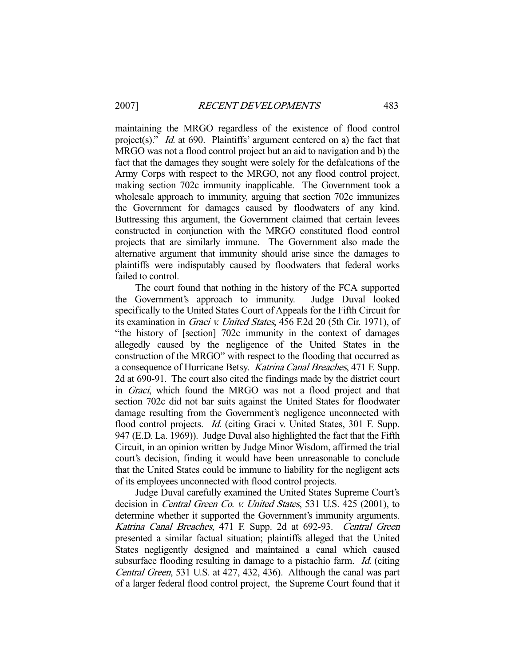maintaining the MRGO regardless of the existence of flood control project(s)." *Id.* at 690. Plaintiffs' argument centered on a) the fact that MRGO was not a flood control project but an aid to navigation and b) the fact that the damages they sought were solely for the defalcations of the Army Corps with respect to the MRGO, not any flood control project, making section 702c immunity inapplicable. The Government took a wholesale approach to immunity, arguing that section 702c immunizes the Government for damages caused by floodwaters of any kind. Buttressing this argument, the Government claimed that certain levees constructed in conjunction with the MRGO constituted flood control projects that are similarly immune. The Government also made the alternative argument that immunity should arise since the damages to plaintiffs were indisputably caused by floodwaters that federal works failed to control.

 The court found that nothing in the history of the FCA supported the Government's approach to immunity. Judge Duval looked specifically to the United States Court of Appeals for the Fifth Circuit for its examination in Graci v. United States, 456 F.2d 20 (5th Cir. 1971), of "the history of [section] 702c immunity in the context of damages allegedly caused by the negligence of the United States in the construction of the MRGO" with respect to the flooding that occurred as a consequence of Hurricane Betsy. Katrina Canal Breaches, 471 F. Supp. 2d at 690-91. The court also cited the findings made by the district court in Graci, which found the MRGO was not a flood project and that section 702c did not bar suits against the United States for floodwater damage resulting from the Government's negligence unconnected with flood control projects. *Id.* (citing Graci v. United States, 301 F. Supp. 947 (E.D. La. 1969)). Judge Duval also highlighted the fact that the Fifth Circuit, in an opinion written by Judge Minor Wisdom, affirmed the trial court's decision, finding it would have been unreasonable to conclude that the United States could be immune to liability for the negligent acts of its employees unconnected with flood control projects.

 Judge Duval carefully examined the United States Supreme Court's decision in Central Green Co. v. United States, 531 U.S. 425 (2001), to determine whether it supported the Government's immunity arguments. Katrina Canal Breaches, 471 F. Supp. 2d at 692-93. Central Green presented a similar factual situation; plaintiffs alleged that the United States negligently designed and maintained a canal which caused subsurface flooding resulting in damage to a pistachio farm. *Id.* (citing Central Green, 531 U.S. at 427, 432, 436). Although the canal was part of a larger federal flood control project, the Supreme Court found that it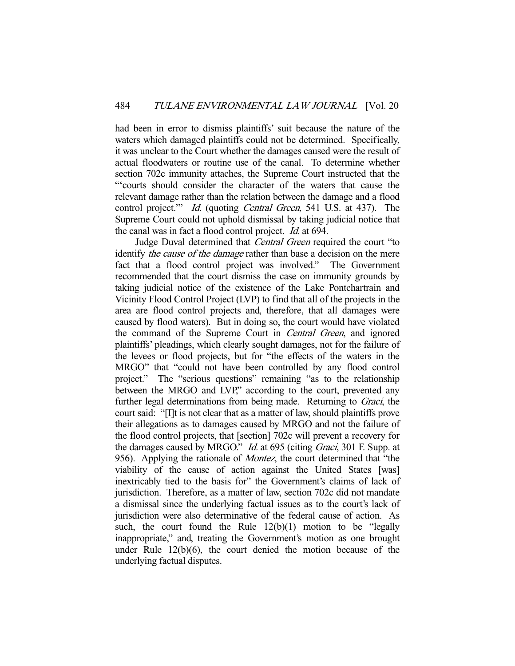had been in error to dismiss plaintiffs' suit because the nature of the waters which damaged plaintiffs could not be determined. Specifically, it was unclear to the Court whether the damages caused were the result of actual floodwaters or routine use of the canal. To determine whether section 702c immunity attaches, the Supreme Court instructed that the "'courts should consider the character of the waters that cause the relevant damage rather than the relation between the damage and a flood control project." Id. (quoting Central Green, 541 U.S. at 437). The Supreme Court could not uphold dismissal by taking judicial notice that the canal was in fact a flood control project. Id. at 694.

Judge Duval determined that *Central Green* required the court "to identify the cause of the damage rather than base a decision on the mere fact that a flood control project was involved." The Government recommended that the court dismiss the case on immunity grounds by taking judicial notice of the existence of the Lake Pontchartrain and Vicinity Flood Control Project (LVP) to find that all of the projects in the area are flood control projects and, therefore, that all damages were caused by flood waters). But in doing so, the court would have violated the command of the Supreme Court in Central Green, and ignored plaintiffs' pleadings, which clearly sought damages, not for the failure of the levees or flood projects, but for "the effects of the waters in the MRGO" that "could not have been controlled by any flood control project." The "serious questions" remaining "as to the relationship between the MRGO and LVP," according to the court, prevented any further legal determinations from being made. Returning to *Graci*, the court said: "[I]t is not clear that as a matter of law, should plaintiffs prove their allegations as to damages caused by MRGO and not the failure of the flood control projects, that [section] 702c will prevent a recovery for the damages caused by MRGO." *Id.* at 695 (citing *Graci*, 301 F. Supp. at 956). Applying the rationale of Montez, the court determined that "the viability of the cause of action against the United States [was] inextricably tied to the basis for" the Government's claims of lack of jurisdiction. Therefore, as a matter of law, section 702c did not mandate a dismissal since the underlying factual issues as to the court's lack of jurisdiction were also determinative of the federal cause of action. As such, the court found the Rule  $12(b)(1)$  motion to be "legally inappropriate," and, treating the Government's motion as one brought under Rule 12(b)(6), the court denied the motion because of the underlying factual disputes.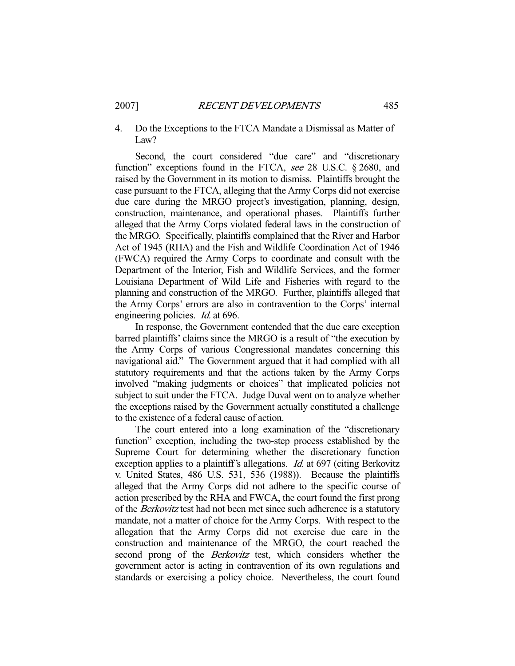## 4. Do the Exceptions to the FTCA Mandate a Dismissal as Matter of Law?

Second, the court considered "due care" and "discretionary function" exceptions found in the FTCA, see 28 U.S.C. § 2680, and raised by the Government in its motion to dismiss. Plaintiffs brought the case pursuant to the FTCA, alleging that the Army Corps did not exercise due care during the MRGO project's investigation, planning, design, construction, maintenance, and operational phases. Plaintiffs further alleged that the Army Corps violated federal laws in the construction of the MRGO. Specifically, plaintiffs complained that the River and Harbor Act of 1945 (RHA) and the Fish and Wildlife Coordination Act of 1946 (FWCA) required the Army Corps to coordinate and consult with the Department of the Interior, Fish and Wildlife Services, and the former Louisiana Department of Wild Life and Fisheries with regard to the planning and construction of the MRGO. Further, plaintiffs alleged that the Army Corps' errors are also in contravention to the Corps' internal engineering policies. *Id.* at 696.

 In response, the Government contended that the due care exception barred plaintiffs' claims since the MRGO is a result of "the execution by the Army Corps of various Congressional mandates concerning this navigational aid." The Government argued that it had complied with all statutory requirements and that the actions taken by the Army Corps involved "making judgments or choices" that implicated policies not subject to suit under the FTCA. Judge Duval went on to analyze whether the exceptions raised by the Government actually constituted a challenge to the existence of a federal cause of action.

 The court entered into a long examination of the "discretionary function" exception, including the two-step process established by the Supreme Court for determining whether the discretionary function exception applies to a plaintiff's allegations. *Id.* at 697 (citing Berkovitz v. United States, 486 U.S. 531, 536 (1988)). Because the plaintiffs alleged that the Army Corps did not adhere to the specific course of action prescribed by the RHA and FWCA, the court found the first prong of the Berkovitz test had not been met since such adherence is a statutory mandate, not a matter of choice for the Army Corps. With respect to the allegation that the Army Corps did not exercise due care in the construction and maintenance of the MRGO, the court reached the second prong of the *Berkovitz* test, which considers whether the government actor is acting in contravention of its own regulations and standards or exercising a policy choice. Nevertheless, the court found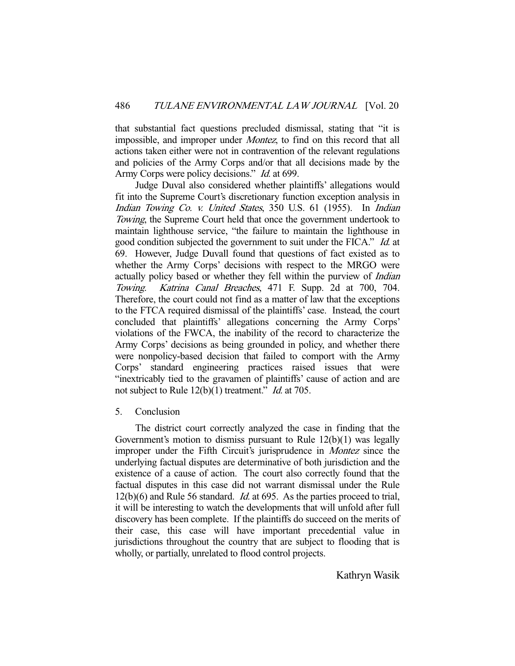that substantial fact questions precluded dismissal, stating that "it is impossible, and improper under Montez, to find on this record that all actions taken either were not in contravention of the relevant regulations and policies of the Army Corps and/or that all decisions made by the Army Corps were policy decisions." *Id.* at 699.

 Judge Duval also considered whether plaintiffs' allegations would fit into the Supreme Court's discretionary function exception analysis in Indian Towing Co. v. United States, 350 U.S. 61 (1955). In Indian Towing, the Supreme Court held that once the government undertook to maintain lighthouse service, "the failure to maintain the lighthouse in good condition subjected the government to suit under the FICA." Id. at 69. However, Judge Duvall found that questions of fact existed as to whether the Army Corps' decisions with respect to the MRGO were actually policy based or whether they fell within the purview of Indian Towing. Katrina Canal Breaches, 471 F. Supp. 2d at 700, 704. Therefore, the court could not find as a matter of law that the exceptions to the FTCA required dismissal of the plaintiffs' case. Instead, the court concluded that plaintiffs' allegations concerning the Army Corps' violations of the FWCA, the inability of the record to characterize the Army Corps' decisions as being grounded in policy, and whether there were nonpolicy-based decision that failed to comport with the Army Corps' standard engineering practices raised issues that were "inextricably tied to the gravamen of plaintiffs' cause of action and are not subject to Rule 12(b)(1) treatment." *Id.* at 705.

# 5. Conclusion

 The district court correctly analyzed the case in finding that the Government's motion to dismiss pursuant to Rule 12(b)(1) was legally improper under the Fifth Circuit's jurisprudence in Montez since the underlying factual disputes are determinative of both jurisdiction and the existence of a cause of action. The court also correctly found that the factual disputes in this case did not warrant dismissal under the Rule 12(b)(6) and Rule 56 standard. Id. at 695. As the parties proceed to trial, it will be interesting to watch the developments that will unfold after full discovery has been complete. If the plaintiffs do succeed on the merits of their case, this case will have important precedential value in jurisdictions throughout the country that are subject to flooding that is wholly, or partially, unrelated to flood control projects.

Kathryn Wasik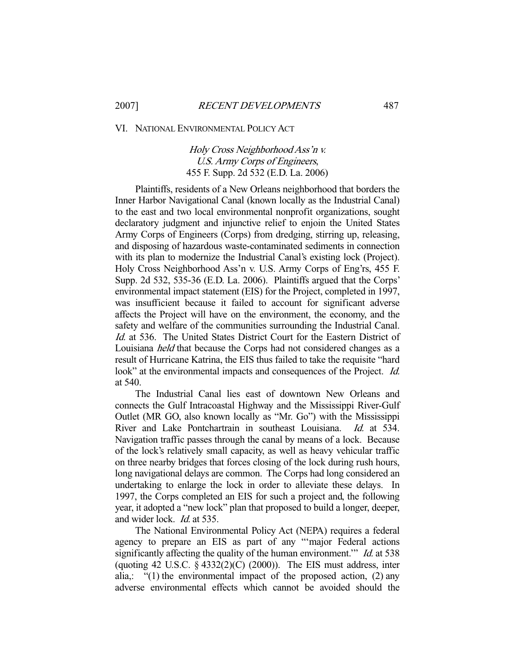VI. NATIONAL ENVIRONMENTAL POLICY ACT

Holy Cross Neighborhood Ass'n v. U.S. Army Corps of Engineers, 455 F. Supp. 2d 532 (E.D. La. 2006)

 Plaintiffs, residents of a New Orleans neighborhood that borders the Inner Harbor Navigational Canal (known locally as the Industrial Canal) to the east and two local environmental nonprofit organizations, sought declaratory judgment and injunctive relief to enjoin the United States Army Corps of Engineers (Corps) from dredging, stirring up, releasing, and disposing of hazardous waste-contaminated sediments in connection with its plan to modernize the Industrial Canal's existing lock (Project). Holy Cross Neighborhood Ass'n v. U.S. Army Corps of Eng'rs, 455 F. Supp. 2d 532, 535-36 (E.D. La. 2006). Plaintiffs argued that the Corps' environmental impact statement (EIS) for the Project, completed in 1997, was insufficient because it failed to account for significant adverse affects the Project will have on the environment, the economy, and the safety and welfare of the communities surrounding the Industrial Canal. Id. at 536. The United States District Court for the Eastern District of Louisiana held that because the Corps had not considered changes as a result of Hurricane Katrina, the EIS thus failed to take the requisite "hard look" at the environmental impacts and consequences of the Project. *Id.* at 540.

 The Industrial Canal lies east of downtown New Orleans and connects the Gulf Intracoastal Highway and the Mississippi River-Gulf Outlet (MR GO, also known locally as "Mr. Go") with the Mississippi River and Lake Pontchartrain in southeast Louisiana. Id. at 534. Navigation traffic passes through the canal by means of a lock. Because of the lock's relatively small capacity, as well as heavy vehicular traffic on three nearby bridges that forces closing of the lock during rush hours, long navigational delays are common. The Corps had long considered an undertaking to enlarge the lock in order to alleviate these delays. In 1997, the Corps completed an EIS for such a project and, the following year, it adopted a "new lock" plan that proposed to build a longer, deeper, and wider lock. Id. at 535.

 The National Environmental Policy Act (NEPA) requires a federal agency to prepare an EIS as part of any "'major Federal actions significantly affecting the quality of the human environment." *Id.* at 538 (quoting 42 U.S.C.  $\S$  4332(2)(C) (2000)). The EIS must address, inter alia,: "(1) the environmental impact of the proposed action, (2) any adverse environmental effects which cannot be avoided should the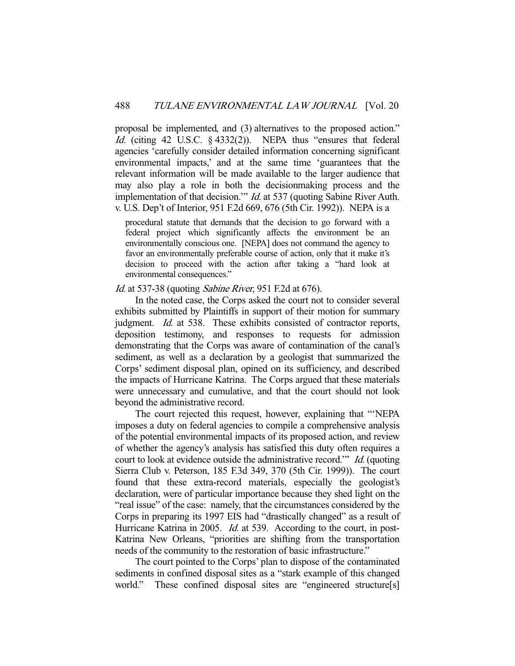proposal be implemented, and (3) alternatives to the proposed action." Id. (citing 42 U.S.C. § 4332(2)). NEPA thus "ensures that federal agencies 'carefully consider detailed information concerning significant environmental impacts,' and at the same time 'guarantees that the relevant information will be made available to the larger audience that may also play a role in both the decisionmaking process and the implementation of that decision." *Id.* at 537 (quoting Sabine River Auth. v. U.S. Dep't of Interior, 951 F.2d 669, 676 (5th Cir. 1992)). NEPA is a

procedural statute that demands that the decision to go forward with a federal project which significantly affects the environment be an environmentally conscious one. [NEPA] does not command the agency to favor an environmentally preferable course of action, only that it make it's decision to proceed with the action after taking a "hard look at environmental consequences."

## Id. at 537-38 (quoting Sabine River, 951 F.2d at 676).

 In the noted case, the Corps asked the court not to consider several exhibits submitted by Plaintiffs in support of their motion for summary judgment. *Id.* at 538. These exhibits consisted of contractor reports, deposition testimony, and responses to requests for admission demonstrating that the Corps was aware of contamination of the canal's sediment, as well as a declaration by a geologist that summarized the Corps' sediment disposal plan, opined on its sufficiency, and described the impacts of Hurricane Katrina. The Corps argued that these materials were unnecessary and cumulative, and that the court should not look beyond the administrative record.

 The court rejected this request, however, explaining that "'NEPA imposes a duty on federal agencies to compile a comprehensive analysis of the potential environmental impacts of its proposed action, and review of whether the agency's analysis has satisfied this duty often requires a court to look at evidence outside the administrative record." *Id.* (quoting Sierra Club v. Peterson, 185 F.3d 349, 370 (5th Cir. 1999)). The court found that these extra-record materials, especially the geologist's declaration, were of particular importance because they shed light on the "real issue" of the case: namely, that the circumstances considered by the Corps in preparing its 1997 EIS had "drastically changed" as a result of Hurricane Katrina in 2005. *Id.* at 539. According to the court, in post-Katrina New Orleans, "priorities are shifting from the transportation needs of the community to the restoration of basic infrastructure."

 The court pointed to the Corps' plan to dispose of the contaminated sediments in confined disposal sites as a "stark example of this changed world." These confined disposal sites are "engineered structure[s]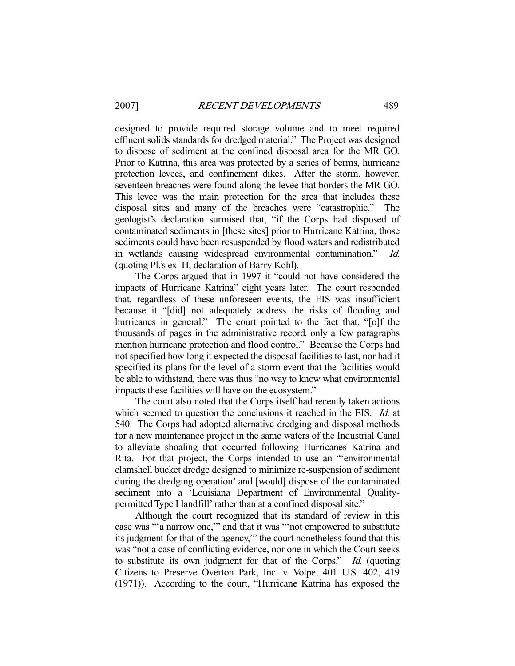designed to provide required storage volume and to meet required effluent solids standards for dredged material." The Project was designed to dispose of sediment at the confined disposal area for the MR GO. Prior to Katrina, this area was protected by a series of berms, hurricane protection levees, and confinement dikes. After the storm, however, seventeen breaches were found along the levee that borders the MR GO. This levee was the main protection for the area that includes these disposal sites and many of the breaches were "catastrophic." The geologist's declaration surmised that, "if the Corps had disposed of contaminated sediments in [these sites] prior to Hurricane Katrina, those sediments could have been resuspended by flood waters and redistributed in wetlands causing widespread environmental contamination." Id. (quoting Pl.'s ex. H, declaration of Barry Kohl).

 The Corps argued that in 1997 it "could not have considered the impacts of Hurricane Katrina" eight years later. The court responded that, regardless of these unforeseen events, the EIS was insufficient because it "[did] not adequately address the risks of flooding and hurricanes in general." The court pointed to the fact that, "[o]f the thousands of pages in the administrative record, only a few paragraphs mention hurricane protection and flood control." Because the Corps had not specified how long it expected the disposal facilities to last, nor had it specified its plans for the level of a storm event that the facilities would be able to withstand, there was thus "no way to know what environmental impacts these facilities will have on the ecosystem."

 The court also noted that the Corps itself had recently taken actions which seemed to question the conclusions it reached in the EIS. *Id.* at 540. The Corps had adopted alternative dredging and disposal methods for a new maintenance project in the same waters of the Industrial Canal to alleviate shoaling that occurred following Hurricanes Katrina and Rita. For that project, the Corps intended to use an "'environmental clamshell bucket dredge designed to minimize re-suspension of sediment during the dredging operation' and [would] dispose of the contaminated sediment into a 'Louisiana Department of Environmental Qualitypermitted Type I landfill' rather than at a confined disposal site."

 Although the court recognized that its standard of review in this case was "'a narrow one,'" and that it was "'not empowered to substitute its judgment for that of the agency,'" the court nonetheless found that this was "not a case of conflicting evidence, nor one in which the Court seeks to substitute its own judgment for that of the Corps." Id. (quoting Citizens to Preserve Overton Park, Inc. v. Volpe, 401 U.S. 402, 419 (1971)). According to the court, "Hurricane Katrina has exposed the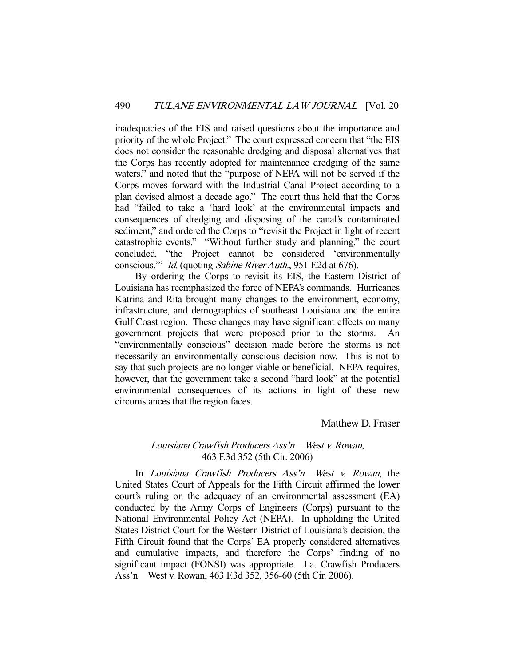inadequacies of the EIS and raised questions about the importance and priority of the whole Project." The court expressed concern that "the EIS does not consider the reasonable dredging and disposal alternatives that the Corps has recently adopted for maintenance dredging of the same waters," and noted that the "purpose of NEPA will not be served if the Corps moves forward with the Industrial Canal Project according to a plan devised almost a decade ago." The court thus held that the Corps had "failed to take a 'hard look' at the environmental impacts and consequences of dredging and disposing of the canal's contaminated sediment," and ordered the Corps to "revisit the Project in light of recent catastrophic events." "Without further study and planning," the court concluded, "the Project cannot be considered 'environmentally conscious." *Id.* (quoting *Sabine River Auth.*, 951 F.2d at 676).

 By ordering the Corps to revisit its EIS, the Eastern District of Louisiana has reemphasized the force of NEPA's commands. Hurricanes Katrina and Rita brought many changes to the environment, economy, infrastructure, and demographics of southeast Louisiana and the entire Gulf Coast region. These changes may have significant effects on many government projects that were proposed prior to the storms. An "environmentally conscious" decision made before the storms is not necessarily an environmentally conscious decision now. This is not to say that such projects are no longer viable or beneficial. NEPA requires, however, that the government take a second "hard look" at the potential environmental consequences of its actions in light of these new circumstances that the region faces.

## Matthew D. Fraser

# Louisiana Crawfish Producers Ass'n—West v. Rowan, 463 F.3d 352 (5th Cir. 2006)

 In Louisiana Crawfish Producers Ass'n—West v. Rowan, the United States Court of Appeals for the Fifth Circuit affirmed the lower court's ruling on the adequacy of an environmental assessment (EA) conducted by the Army Corps of Engineers (Corps) pursuant to the National Environmental Policy Act (NEPA). In upholding the United States District Court for the Western District of Louisiana's decision, the Fifth Circuit found that the Corps' EA properly considered alternatives and cumulative impacts, and therefore the Corps' finding of no significant impact (FONSI) was appropriate. La. Crawfish Producers Ass'n—West v. Rowan, 463 F.3d 352, 356-60 (5th Cir. 2006).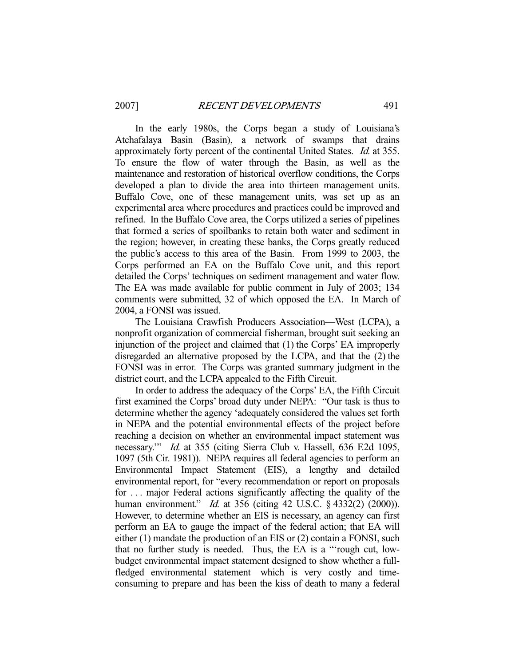In the early 1980s, the Corps began a study of Louisiana's Atchafalaya Basin (Basin), a network of swamps that drains approximately forty percent of the continental United States. Id. at 355. To ensure the flow of water through the Basin, as well as the maintenance and restoration of historical overflow conditions, the Corps developed a plan to divide the area into thirteen management units. Buffalo Cove, one of these management units, was set up as an experimental area where procedures and practices could be improved and refined. In the Buffalo Cove area, the Corps utilized a series of pipelines that formed a series of spoilbanks to retain both water and sediment in the region; however, in creating these banks, the Corps greatly reduced the public's access to this area of the Basin. From 1999 to 2003, the Corps performed an EA on the Buffalo Cove unit, and this report detailed the Corps' techniques on sediment management and water flow. The EA was made available for public comment in July of 2003; 134 comments were submitted, 32 of which opposed the EA. In March of 2004, a FONSI was issued.

 The Louisiana Crawfish Producers Association—West (LCPA), a nonprofit organization of commercial fisherman, brought suit seeking an injunction of the project and claimed that (1) the Corps' EA improperly disregarded an alternative proposed by the LCPA, and that the (2) the FONSI was in error. The Corps was granted summary judgment in the district court, and the LCPA appealed to the Fifth Circuit.

 In order to address the adequacy of the Corps' EA, the Fifth Circuit first examined the Corps' broad duty under NEPA: "Our task is thus to determine whether the agency 'adequately considered the values set forth in NEPA and the potential environmental effects of the project before reaching a decision on whether an environmental impact statement was necessary."" *Id.* at 355 (citing Sierra Club v. Hassell, 636 F.2d 1095, 1097 (5th Cir. 1981)). NEPA requires all federal agencies to perform an Environmental Impact Statement (EIS), a lengthy and detailed environmental report, for "every recommendation or report on proposals for . . . major Federal actions significantly affecting the quality of the human environment." *Id.* at 356 (citing 42 U.S.C. § 4332(2) (2000)). However, to determine whether an EIS is necessary, an agency can first perform an EA to gauge the impact of the federal action; that EA will either (1) mandate the production of an EIS or (2) contain a FONSI, such that no further study is needed. Thus, the EA is a "'rough cut, lowbudget environmental impact statement designed to show whether a fullfledged environmental statement—which is very costly and timeconsuming to prepare and has been the kiss of death to many a federal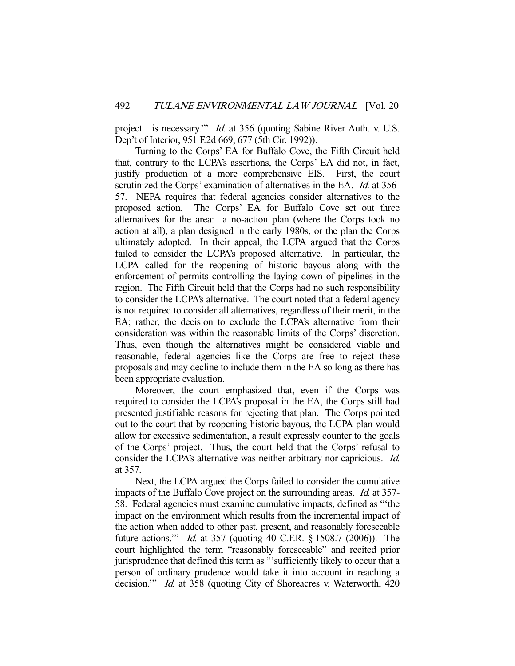project—is necessary.'" Id. at 356 (quoting Sabine River Auth. v. U.S. Dep't of Interior, 951 F.2d 669, 677 (5th Cir. 1992)).

 Turning to the Corps' EA for Buffalo Cove, the Fifth Circuit held that, contrary to the LCPA's assertions, the Corps' EA did not, in fact, justify production of a more comprehensive EIS. First, the court scrutinized the Corps' examination of alternatives in the EA. *Id.* at 356-57. NEPA requires that federal agencies consider alternatives to the proposed action. The Corps' EA for Buffalo Cove set out three alternatives for the area: a no-action plan (where the Corps took no action at all), a plan designed in the early 1980s, or the plan the Corps ultimately adopted. In their appeal, the LCPA argued that the Corps failed to consider the LCPA's proposed alternative. In particular, the LCPA called for the reopening of historic bayous along with the enforcement of permits controlling the laying down of pipelines in the region. The Fifth Circuit held that the Corps had no such responsibility to consider the LCPA's alternative. The court noted that a federal agency is not required to consider all alternatives, regardless of their merit, in the EA; rather, the decision to exclude the LCPA's alternative from their consideration was within the reasonable limits of the Corps' discretion. Thus, even though the alternatives might be considered viable and reasonable, federal agencies like the Corps are free to reject these proposals and may decline to include them in the EA so long as there has been appropriate evaluation.

 Moreover, the court emphasized that, even if the Corps was required to consider the LCPA's proposal in the EA, the Corps still had presented justifiable reasons for rejecting that plan. The Corps pointed out to the court that by reopening historic bayous, the LCPA plan would allow for excessive sedimentation, a result expressly counter to the goals of the Corps' project. Thus, the court held that the Corps' refusal to consider the LCPA's alternative was neither arbitrary nor capricious. Id. at 357.

 Next, the LCPA argued the Corps failed to consider the cumulative impacts of the Buffalo Cove project on the surrounding areas. Id. at 357- 58. Federal agencies must examine cumulative impacts, defined as "'the impact on the environment which results from the incremental impact of the action when added to other past, present, and reasonably foreseeable future actions.'" Id. at 357 (quoting 40 C.F.R. § 1508.7 (2006)). The court highlighted the term "reasonably foreseeable" and recited prior jurisprudence that defined this term as "'sufficiently likely to occur that a person of ordinary prudence would take it into account in reaching a decision." *Id.* at 358 (quoting City of Shoreacres v. Waterworth, 420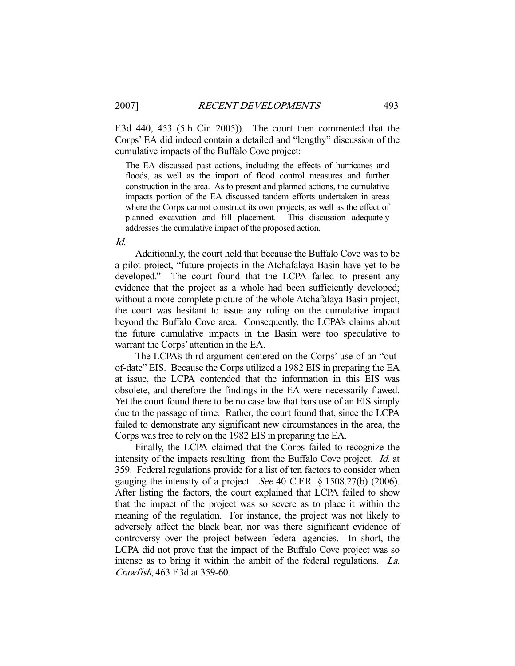F.3d 440, 453 (5th Cir. 2005)). The court then commented that the Corps' EA did indeed contain a detailed and "lengthy" discussion of the cumulative impacts of the Buffalo Cove project:

The EA discussed past actions, including the effects of hurricanes and floods, as well as the import of flood control measures and further construction in the area. As to present and planned actions, the cumulative impacts portion of the EA discussed tandem efforts undertaken in areas where the Corps cannot construct its own projects, as well as the effect of planned excavation and fill placement. This discussion adequately addresses the cumulative impact of the proposed action.

Id.

 Additionally, the court held that because the Buffalo Cove was to be a pilot project, "future projects in the Atchafalaya Basin have yet to be developed." The court found that the LCPA failed to present any evidence that the project as a whole had been sufficiently developed; without a more complete picture of the whole Atchafalaya Basin project, the court was hesitant to issue any ruling on the cumulative impact beyond the Buffalo Cove area. Consequently, the LCPA's claims about the future cumulative impacts in the Basin were too speculative to warrant the Corps' attention in the EA.

 The LCPA's third argument centered on the Corps' use of an "outof-date" EIS. Because the Corps utilized a 1982 EIS in preparing the EA at issue, the LCPA contended that the information in this EIS was obsolete, and therefore the findings in the EA were necessarily flawed. Yet the court found there to be no case law that bars use of an EIS simply due to the passage of time. Rather, the court found that, since the LCPA failed to demonstrate any significant new circumstances in the area, the Corps was free to rely on the 1982 EIS in preparing the EA.

 Finally, the LCPA claimed that the Corps failed to recognize the intensity of the impacts resulting from the Buffalo Cove project. *Id.* at 359. Federal regulations provide for a list of ten factors to consider when gauging the intensity of a project. *See* 40 C.F.R. § 1508.27(b) (2006). After listing the factors, the court explained that LCPA failed to show that the impact of the project was so severe as to place it within the meaning of the regulation. For instance, the project was not likely to adversely affect the black bear, nor was there significant evidence of controversy over the project between federal agencies. In short, the LCPA did not prove that the impact of the Buffalo Cove project was so intense as to bring it within the ambit of the federal regulations. La. Crawfish, 463 F.3d at 359-60.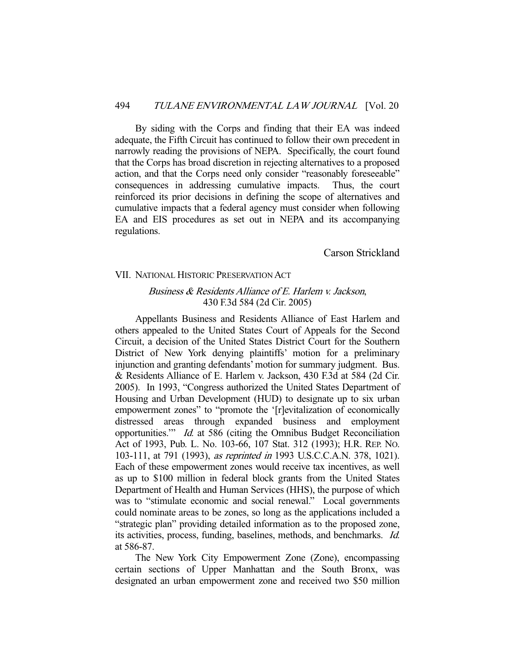By siding with the Corps and finding that their EA was indeed adequate, the Fifth Circuit has continued to follow their own precedent in narrowly reading the provisions of NEPA. Specifically, the court found that the Corps has broad discretion in rejecting alternatives to a proposed action, and that the Corps need only consider "reasonably foreseeable" consequences in addressing cumulative impacts. Thus, the court reinforced its prior decisions in defining the scope of alternatives and cumulative impacts that a federal agency must consider when following EA and EIS procedures as set out in NEPA and its accompanying regulations.

Carson Strickland

#### VII. NATIONAL HISTORIC PRESERVATION ACT

# Business & Residents Alliance of E. Harlem v. Jackson, 430 F.3d 584 (2d Cir. 2005)

 Appellants Business and Residents Alliance of East Harlem and others appealed to the United States Court of Appeals for the Second Circuit, a decision of the United States District Court for the Southern District of New York denying plaintiffs' motion for a preliminary injunction and granting defendants' motion for summary judgment. Bus. & Residents Alliance of E. Harlem v. Jackson, 430 F.3d at 584 (2d Cir. 2005). In 1993, "Congress authorized the United States Department of Housing and Urban Development (HUD) to designate up to six urban empowerment zones" to "promote the '[r]evitalization of economically distressed areas through expanded business and employment opportunities.'" Id. at 586 (citing the Omnibus Budget Reconciliation Act of 1993, Pub. L. No. 103-66, 107 Stat. 312 (1993); H.R. REP. NO. 103-111, at 791 (1993), as reprinted in 1993 U.S.C.C.A.N. 378, 1021). Each of these empowerment zones would receive tax incentives, as well as up to \$100 million in federal block grants from the United States Department of Health and Human Services (HHS), the purpose of which was to "stimulate economic and social renewal." Local governments could nominate areas to be zones, so long as the applications included a "strategic plan" providing detailed information as to the proposed zone, its activities, process, funding, baselines, methods, and benchmarks. Id. at 586-87.

 The New York City Empowerment Zone (Zone), encompassing certain sections of Upper Manhattan and the South Bronx, was designated an urban empowerment zone and received two \$50 million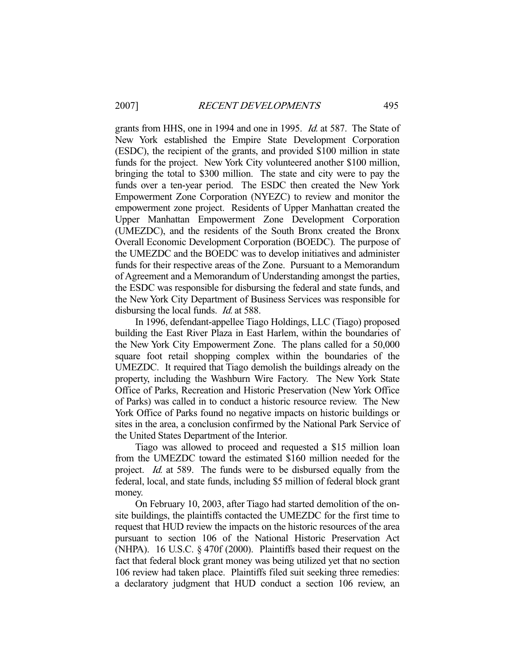grants from HHS, one in 1994 and one in 1995. Id. at 587. The State of New York established the Empire State Development Corporation (ESDC), the recipient of the grants, and provided \$100 million in state funds for the project. New York City volunteered another \$100 million, bringing the total to \$300 million. The state and city were to pay the funds over a ten-year period. The ESDC then created the New York Empowerment Zone Corporation (NYEZC) to review and monitor the empowerment zone project. Residents of Upper Manhattan created the Upper Manhattan Empowerment Zone Development Corporation (UMEZDC), and the residents of the South Bronx created the Bronx Overall Economic Development Corporation (BOEDC). The purpose of the UMEZDC and the BOEDC was to develop initiatives and administer funds for their respective areas of the Zone. Pursuant to a Memorandum of Agreement and a Memorandum of Understanding amongst the parties, the ESDC was responsible for disbursing the federal and state funds, and the New York City Department of Business Services was responsible for disbursing the local funds. *Id.* at 588.

 In 1996, defendant-appellee Tiago Holdings, LLC (Tiago) proposed building the East River Plaza in East Harlem, within the boundaries of the New York City Empowerment Zone. The plans called for a 50,000 square foot retail shopping complex within the boundaries of the UMEZDC. It required that Tiago demolish the buildings already on the property, including the Washburn Wire Factory. The New York State Office of Parks, Recreation and Historic Preservation (New York Office of Parks) was called in to conduct a historic resource review. The New York Office of Parks found no negative impacts on historic buildings or sites in the area, a conclusion confirmed by the National Park Service of the United States Department of the Interior.

 Tiago was allowed to proceed and requested a \$15 million loan from the UMEZDC toward the estimated \$160 million needed for the project. Id. at 589. The funds were to be disbursed equally from the federal, local, and state funds, including \$5 million of federal block grant money.

 On February 10, 2003, after Tiago had started demolition of the onsite buildings, the plaintiffs contacted the UMEZDC for the first time to request that HUD review the impacts on the historic resources of the area pursuant to section 106 of the National Historic Preservation Act (NHPA). 16 U.S.C. § 470f (2000). Plaintiffs based their request on the fact that federal block grant money was being utilized yet that no section 106 review had taken place. Plaintiffs filed suit seeking three remedies: a declaratory judgment that HUD conduct a section 106 review, an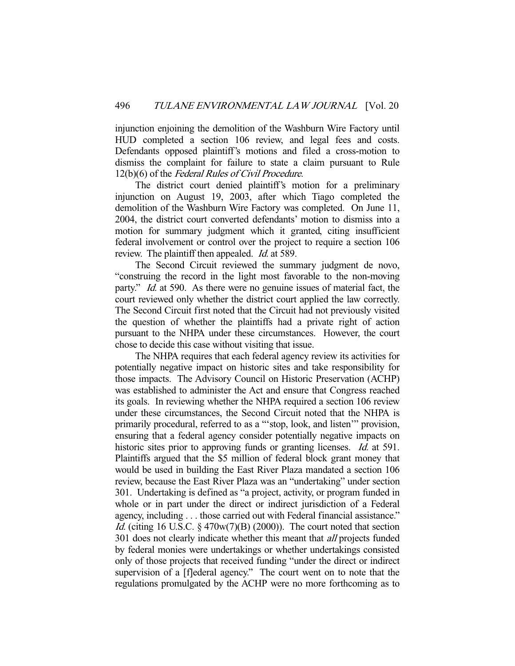injunction enjoining the demolition of the Washburn Wire Factory until HUD completed a section 106 review, and legal fees and costs. Defendants opposed plaintiff's motions and filed a cross-motion to dismiss the complaint for failure to state a claim pursuant to Rule 12(b)(6) of the Federal Rules of Civil Procedure.

 The district court denied plaintiff's motion for a preliminary injunction on August 19, 2003, after which Tiago completed the demolition of the Washburn Wire Factory was completed. On June 11, 2004, the district court converted defendants' motion to dismiss into a motion for summary judgment which it granted, citing insufficient federal involvement or control over the project to require a section 106 review. The plaintiff then appealed. *Id.* at 589.

 The Second Circuit reviewed the summary judgment de novo, "construing the record in the light most favorable to the non-moving party." *Id.* at 590. As there were no genuine issues of material fact, the court reviewed only whether the district court applied the law correctly. The Second Circuit first noted that the Circuit had not previously visited the question of whether the plaintiffs had a private right of action pursuant to the NHPA under these circumstances. However, the court chose to decide this case without visiting that issue.

 The NHPA requires that each federal agency review its activities for potentially negative impact on historic sites and take responsibility for those impacts. The Advisory Council on Historic Preservation (ACHP) was established to administer the Act and ensure that Congress reached its goals. In reviewing whether the NHPA required a section 106 review under these circumstances, the Second Circuit noted that the NHPA is primarily procedural, referred to as a "'stop, look, and listen'" provision, ensuring that a federal agency consider potentially negative impacts on historic sites prior to approving funds or granting licenses. *Id.* at 591. Plaintiffs argued that the \$5 million of federal block grant money that would be used in building the East River Plaza mandated a section 106 review, because the East River Plaza was an "undertaking" under section 301. Undertaking is defined as "a project, activity, or program funded in whole or in part under the direct or indirect jurisdiction of a Federal agency, including . . . those carried out with Federal financial assistance." *Id.* (citing 16 U.S.C.  $\S$  470w(7)(B) (2000)). The court noted that section 301 does not clearly indicate whether this meant that *all* projects funded by federal monies were undertakings or whether undertakings consisted only of those projects that received funding "under the direct or indirect supervision of a [f]ederal agency." The court went on to note that the regulations promulgated by the ACHP were no more forthcoming as to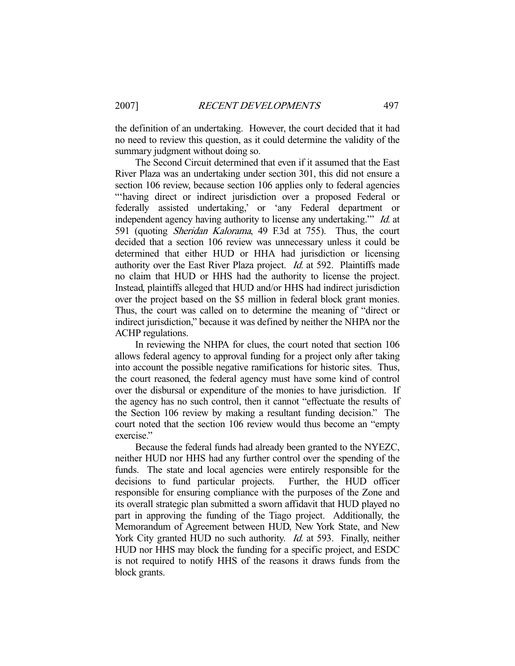the definition of an undertaking. However, the court decided that it had no need to review this question, as it could determine the validity of the summary judgment without doing so.

 The Second Circuit determined that even if it assumed that the East River Plaza was an undertaking under section 301, this did not ensure a section 106 review, because section 106 applies only to federal agencies "'having direct or indirect jurisdiction over a proposed Federal or federally assisted undertaking,' or 'any Federal department or independent agency having authority to license any undertaking." *Id.* at 591 (quoting Sheridan Kalorama, 49 F.3d at 755). Thus, the court decided that a section 106 review was unnecessary unless it could be determined that either HUD or HHA had jurisdiction or licensing authority over the East River Plaza project. Id. at 592. Plaintiffs made no claim that HUD or HHS had the authority to license the project. Instead, plaintiffs alleged that HUD and/or HHS had indirect jurisdiction over the project based on the \$5 million in federal block grant monies. Thus, the court was called on to determine the meaning of "direct or indirect jurisdiction," because it was defined by neither the NHPA nor the ACHP regulations.

 In reviewing the NHPA for clues, the court noted that section 106 allows federal agency to approval funding for a project only after taking into account the possible negative ramifications for historic sites. Thus, the court reasoned, the federal agency must have some kind of control over the disbursal or expenditure of the monies to have jurisdiction. If the agency has no such control, then it cannot "effectuate the results of the Section 106 review by making a resultant funding decision." The court noted that the section 106 review would thus become an "empty exercise."

 Because the federal funds had already been granted to the NYEZC, neither HUD nor HHS had any further control over the spending of the funds. The state and local agencies were entirely responsible for the decisions to fund particular projects. Further, the HUD officer responsible for ensuring compliance with the purposes of the Zone and its overall strategic plan submitted a sworn affidavit that HUD played no part in approving the funding of the Tiago project. Additionally, the Memorandum of Agreement between HUD, New York State, and New York City granted HUD no such authority. *Id.* at 593. Finally, neither HUD nor HHS may block the funding for a specific project, and ESDC is not required to notify HHS of the reasons it draws funds from the block grants.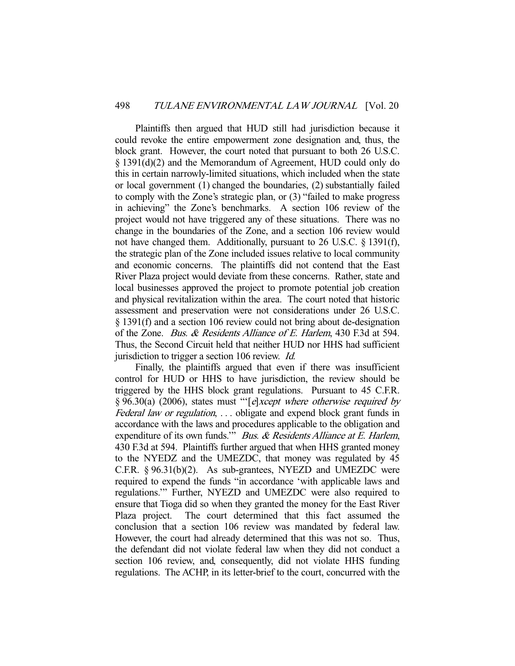Plaintiffs then argued that HUD still had jurisdiction because it could revoke the entire empowerment zone designation and, thus, the block grant. However, the court noted that pursuant to both 26 U.S.C. § 1391(d)(2) and the Memorandum of Agreement, HUD could only do this in certain narrowly-limited situations, which included when the state or local government (1) changed the boundaries, (2) substantially failed to comply with the Zone's strategic plan, or (3) "failed to make progress in achieving" the Zone's benchmarks. A section 106 review of the project would not have triggered any of these situations. There was no change in the boundaries of the Zone, and a section 106 review would not have changed them. Additionally, pursuant to 26 U.S.C. § 1391(f), the strategic plan of the Zone included issues relative to local community and economic concerns. The plaintiffs did not contend that the East River Plaza project would deviate from these concerns. Rather, state and local businesses approved the project to promote potential job creation and physical revitalization within the area. The court noted that historic assessment and preservation were not considerations under 26 U.S.C. § 1391(f) and a section 106 review could not bring about de-designation of the Zone. Bus. & Residents Alliance of E. Harlem, 430 F.3d at 594. Thus, the Second Circuit held that neither HUD nor HHS had sufficient jurisdiction to trigger a section 106 review. Id.

 Finally, the plaintiffs argued that even if there was insufficient control for HUD or HHS to have jurisdiction, the review should be triggered by the HHS block grant regulations. Pursuant to 45 C.F.R. § 96.30(a) (2006), states must "'[e]xcept where otherwise required by Federal law or regulation, ... obligate and expend block grant funds in accordance with the laws and procedures applicable to the obligation and expenditure of its own funds." Bus. & Residents Alliance at E. Harlem, 430 F.3d at 594. Plaintiffs further argued that when HHS granted money to the NYEDZ and the UMEZDC, that money was regulated by 45 C.F.R. § 96.31(b)(2). As sub-grantees, NYEZD and UMEZDC were required to expend the funds "in accordance 'with applicable laws and regulations.'" Further, NYEZD and UMEZDC were also required to ensure that Tioga did so when they granted the money for the East River Plaza project. The court determined that this fact assumed the conclusion that a section 106 review was mandated by federal law. However, the court had already determined that this was not so. Thus, the defendant did not violate federal law when they did not conduct a section 106 review, and, consequently, did not violate HHS funding regulations. The ACHP, in its letter-brief to the court, concurred with the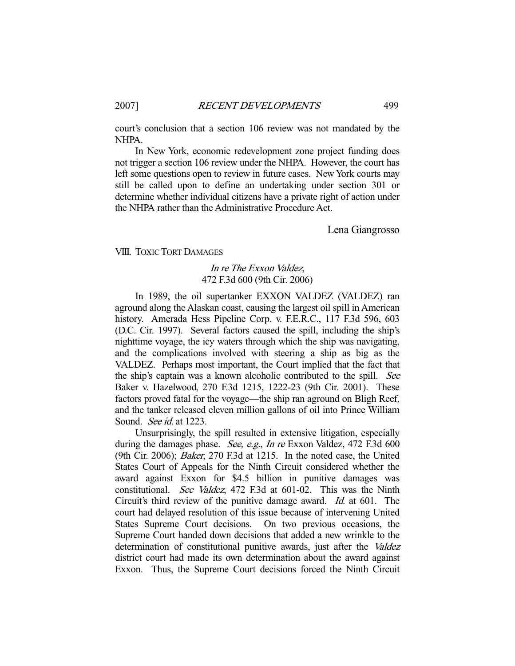court's conclusion that a section 106 review was not mandated by the NHPA.

 In New York, economic redevelopment zone project funding does not trigger a section 106 review under the NHPA. However, the court has left some questions open to review in future cases. New York courts may still be called upon to define an undertaking under section 301 or determine whether individual citizens have a private right of action under the NHPA rather than the Administrative Procedure Act.

Lena Giangrosso

VIII. TOXIC TORT DAMAGES

# In re The Exxon Valdez, 472 F.3d 600 (9th Cir. 2006)

 In 1989, the oil supertanker EXXON VALDEZ (VALDEZ) ran aground along the Alaskan coast, causing the largest oil spill in American history. Amerada Hess Pipeline Corp. v. F.E.R.C., 117 F.3d 596, 603 (D.C. Cir. 1997). Several factors caused the spill, including the ship's nighttime voyage, the icy waters through which the ship was navigating, and the complications involved with steering a ship as big as the VALDEZ. Perhaps most important, the Court implied that the fact that the ship's captain was a known alcoholic contributed to the spill. See Baker v. Hazelwood, 270 F.3d 1215, 1222-23 (9th Cir. 2001). These factors proved fatal for the voyage—the ship ran aground on Bligh Reef, and the tanker released eleven million gallons of oil into Prince William Sound. See id. at 1223.

 Unsurprisingly, the spill resulted in extensive litigation, especially during the damages phase. See, e.g., In re Exxon Valdez, 472 F.3d 600 (9th Cir. 2006); Baker, 270 F.3d at 1215. In the noted case, the United States Court of Appeals for the Ninth Circuit considered whether the award against Exxon for \$4.5 billion in punitive damages was constitutional. See Valdez, 472 F.3d at 601-02. This was the Ninth Circuit's third review of the punitive damage award. Id. at 601. The court had delayed resolution of this issue because of intervening United States Supreme Court decisions. On two previous occasions, the Supreme Court handed down decisions that added a new wrinkle to the determination of constitutional punitive awards, just after the Valdez district court had made its own determination about the award against Exxon. Thus, the Supreme Court decisions forced the Ninth Circuit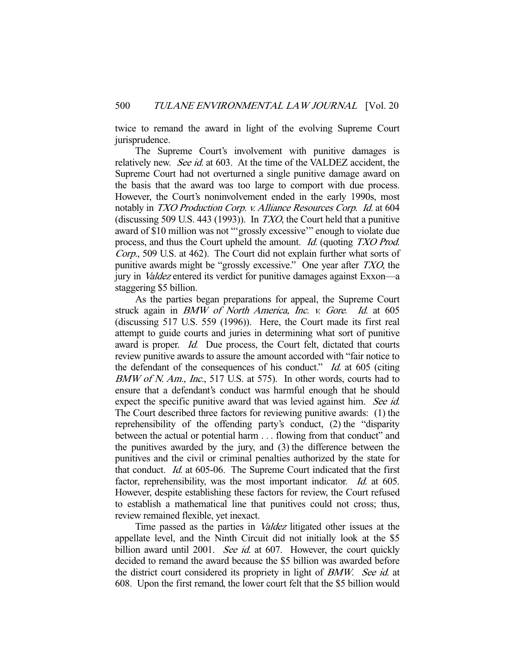twice to remand the award in light of the evolving Supreme Court jurisprudence.

 The Supreme Court's involvement with punitive damages is relatively new. *See id.* at 603. At the time of the VALDEZ accident, the Supreme Court had not overturned a single punitive damage award on the basis that the award was too large to comport with due process. However, the Court's noninvolvement ended in the early 1990s, most notably in TXO Production Corp. v. Alliance Resources Corp. Id. at 604 (discussing 509 U.S. 443 (1993)). In  $TXO$ , the Court held that a punitive award of \$10 million was not "'grossly excessive'" enough to violate due process, and thus the Court upheld the amount. Id. (quoting TXO Prod. Corp., 509 U.S. at 462). The Court did not explain further what sorts of punitive awards might be "grossly excessive." One year after TXO, the jury in Valdez entered its verdict for punitive damages against Exxon—a staggering \$5 billion.

 As the parties began preparations for appeal, the Supreme Court struck again in *BMW of North America, Inc. v. Gore. Id.* at 605 (discussing 517 U.S. 559 (1996)). Here, the Court made its first real attempt to guide courts and juries in determining what sort of punitive award is proper. Id. Due process, the Court felt, dictated that courts review punitive awards to assure the amount accorded with "fair notice to the defendant of the consequences of his conduct." *Id.* at 605 (citing BMW of N. Am., Inc., 517 U.S. at 575). In other words, courts had to ensure that a defendant's conduct was harmful enough that he should expect the specific punitive award that was levied against him. See id. The Court described three factors for reviewing punitive awards: (1) the reprehensibility of the offending party's conduct, (2) the "disparity between the actual or potential harm . . . flowing from that conduct" and the punitives awarded by the jury, and (3) the difference between the punitives and the civil or criminal penalties authorized by the state for that conduct. Id. at 605-06. The Supreme Court indicated that the first factor, reprehensibility, was the most important indicator. Id. at 605. However, despite establishing these factors for review, the Court refused to establish a mathematical line that punitives could not cross; thus, review remained flexible, yet inexact.

 Time passed as the parties in Valdez litigated other issues at the appellate level, and the Ninth Circuit did not initially look at the \$5 billion award until 2001. See id. at 607. However, the court quickly decided to remand the award because the \$5 billion was awarded before the district court considered its propriety in light of *BMW. See id.* at 608. Upon the first remand, the lower court felt that the \$5 billion would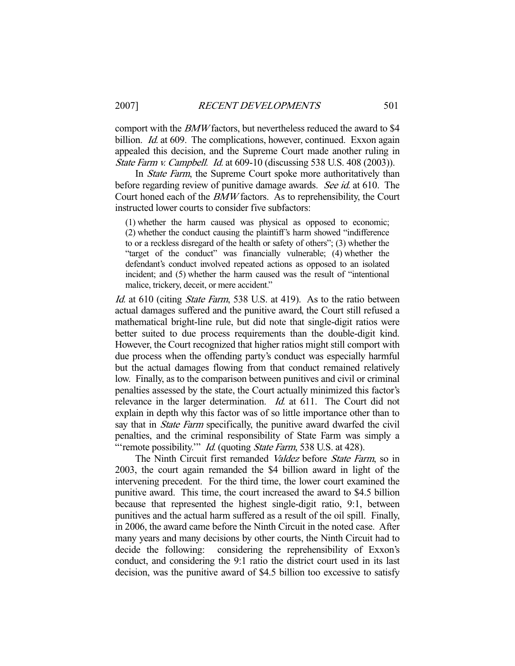comport with the BMW factors, but nevertheless reduced the award to \$4 billion. *Id.* at 609. The complications, however, continued. Exxon again appealed this decision, and the Supreme Court made another ruling in State Farm v. Campbell. Id. at 609-10 (discussing 538 U.S. 408 (2003)).

In *State Farm*, the Supreme Court spoke more authoritatively than before regarding review of punitive damage awards. See id. at 610. The Court honed each of the BMW factors. As to reprehensibility, the Court instructed lower courts to consider five subfactors:

(1) whether the harm caused was physical as opposed to economic; (2) whether the conduct causing the plaintiff's harm showed "indifference to or a reckless disregard of the health or safety of others"; (3) whether the "target of the conduct" was financially vulnerable; (4) whether the defendant's conduct involved repeated actions as opposed to an isolated incident; and (5) whether the harm caused was the result of "intentional malice, trickery, deceit, or mere accident."

Id. at 610 (citing *State Farm*, 538 U.S. at 419). As to the ratio between actual damages suffered and the punitive award, the Court still refused a mathematical bright-line rule, but did note that single-digit ratios were better suited to due process requirements than the double-digit kind. However, the Court recognized that higher ratios might still comport with due process when the offending party's conduct was especially harmful but the actual damages flowing from that conduct remained relatively low. Finally, as to the comparison between punitives and civil or criminal penalties assessed by the state, the Court actually minimized this factor's relevance in the larger determination. *Id.* at 611. The Court did not explain in depth why this factor was of so little importance other than to say that in *State Farm* specifically, the punitive award dwarfed the civil penalties, and the criminal responsibility of State Farm was simply a "'remote possibility."" *Id.* (quoting *State Farm*, 538 U.S. at 428).

The Ninth Circuit first remanded Valdez before State Farm, so in 2003, the court again remanded the \$4 billion award in light of the intervening precedent. For the third time, the lower court examined the punitive award. This time, the court increased the award to \$4.5 billion because that represented the highest single-digit ratio, 9:1, between punitives and the actual harm suffered as a result of the oil spill. Finally, in 2006, the award came before the Ninth Circuit in the noted case. After many years and many decisions by other courts, the Ninth Circuit had to decide the following: considering the reprehensibility of Exxon's conduct, and considering the 9:1 ratio the district court used in its last decision, was the punitive award of \$4.5 billion too excessive to satisfy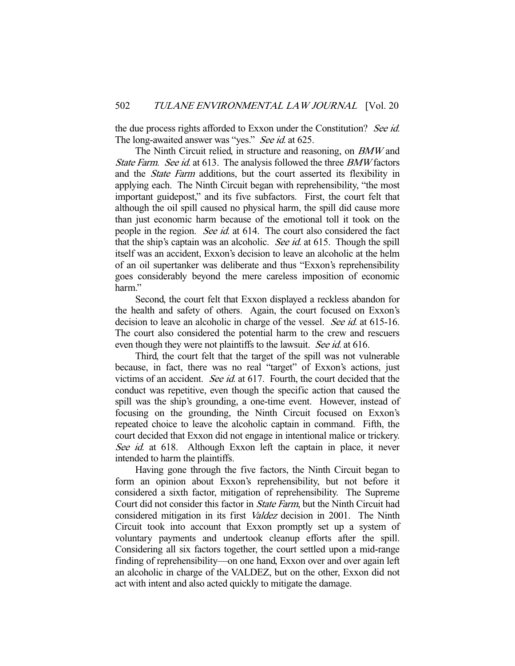the due process rights afforded to Exxon under the Constitution? See id. The long-awaited answer was "yes." See id. at 625.

 The Ninth Circuit relied, in structure and reasoning, on BMW and State Farm. See id. at 613. The analysis followed the three BMW factors and the State Farm additions, but the court asserted its flexibility in applying each. The Ninth Circuit began with reprehensibility, "the most important guidepost," and its five subfactors. First, the court felt that although the oil spill caused no physical harm, the spill did cause more than just economic harm because of the emotional toll it took on the people in the region. See id. at 614. The court also considered the fact that the ship's captain was an alcoholic. See id. at 615. Though the spill itself was an accident, Exxon's decision to leave an alcoholic at the helm of an oil supertanker was deliberate and thus "Exxon's reprehensibility goes considerably beyond the mere careless imposition of economic harm."

 Second, the court felt that Exxon displayed a reckless abandon for the health and safety of others. Again, the court focused on Exxon's decision to leave an alcoholic in charge of the vessel. See id. at 615-16. The court also considered the potential harm to the crew and rescuers even though they were not plaintiffs to the lawsuit. See id. at 616.

 Third, the court felt that the target of the spill was not vulnerable because, in fact, there was no real "target" of Exxon's actions, just victims of an accident. See id. at 617. Fourth, the court decided that the conduct was repetitive, even though the specific action that caused the spill was the ship's grounding, a one-time event. However, instead of focusing on the grounding, the Ninth Circuit focused on Exxon's repeated choice to leave the alcoholic captain in command. Fifth, the court decided that Exxon did not engage in intentional malice or trickery. See id. at 618. Although Exxon left the captain in place, it never intended to harm the plaintiffs.

 Having gone through the five factors, the Ninth Circuit began to form an opinion about Exxon's reprehensibility, but not before it considered a sixth factor, mitigation of reprehensibility. The Supreme Court did not consider this factor in State Farm, but the Ninth Circuit had considered mitigation in its first Valdez decision in 2001. The Ninth Circuit took into account that Exxon promptly set up a system of voluntary payments and undertook cleanup efforts after the spill. Considering all six factors together, the court settled upon a mid-range finding of reprehensibility—on one hand, Exxon over and over again left an alcoholic in charge of the VALDEZ, but on the other, Exxon did not act with intent and also acted quickly to mitigate the damage.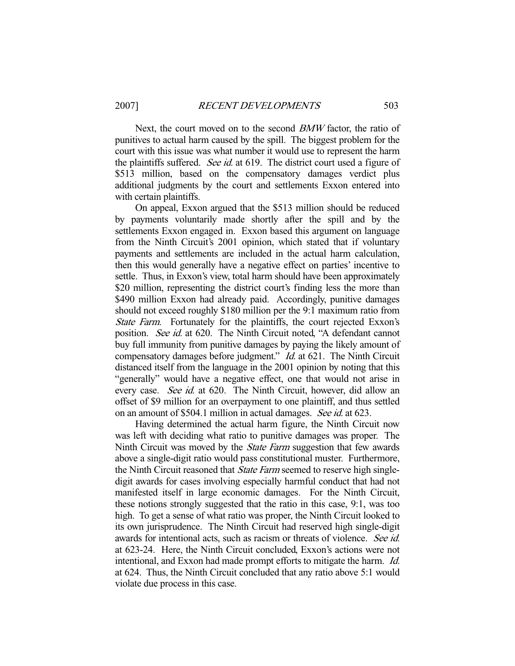Next, the court moved on to the second *BMW* factor, the ratio of punitives to actual harm caused by the spill. The biggest problem for the court with this issue was what number it would use to represent the harm the plaintiffs suffered. See id. at 619. The district court used a figure of \$513 million, based on the compensatory damages verdict plus additional judgments by the court and settlements Exxon entered into with certain plaintiffs.

 On appeal, Exxon argued that the \$513 million should be reduced by payments voluntarily made shortly after the spill and by the settlements Exxon engaged in. Exxon based this argument on language from the Ninth Circuit's 2001 opinion, which stated that if voluntary payments and settlements are included in the actual harm calculation, then this would generally have a negative effect on parties' incentive to settle. Thus, in Exxon's view, total harm should have been approximately \$20 million, representing the district court's finding less the more than \$490 million Exxon had already paid. Accordingly, punitive damages should not exceed roughly \$180 million per the 9:1 maximum ratio from State Farm. Fortunately for the plaintiffs, the court rejected Exxon's position. See id. at 620. The Ninth Circuit noted, "A defendant cannot buy full immunity from punitive damages by paying the likely amount of compensatory damages before judgment." *Id.* at 621. The Ninth Circuit distanced itself from the language in the 2001 opinion by noting that this "generally" would have a negative effect, one that would not arise in every case. See id. at 620. The Ninth Circuit, however, did allow an offset of \$9 million for an overpayment to one plaintiff, and thus settled on an amount of \$504.1 million in actual damages. See id. at 623.

 Having determined the actual harm figure, the Ninth Circuit now was left with deciding what ratio to punitive damages was proper. The Ninth Circuit was moved by the *State Farm* suggestion that few awards above a single-digit ratio would pass constitutional muster. Furthermore, the Ninth Circuit reasoned that *State Farm* seemed to reserve high singledigit awards for cases involving especially harmful conduct that had not manifested itself in large economic damages. For the Ninth Circuit, these notions strongly suggested that the ratio in this case, 9:1, was too high. To get a sense of what ratio was proper, the Ninth Circuit looked to its own jurisprudence. The Ninth Circuit had reserved high single-digit awards for intentional acts, such as racism or threats of violence. See id. at 623-24. Here, the Ninth Circuit concluded, Exxon's actions were not intentional, and Exxon had made prompt efforts to mitigate the harm. Id. at 624. Thus, the Ninth Circuit concluded that any ratio above 5:1 would violate due process in this case.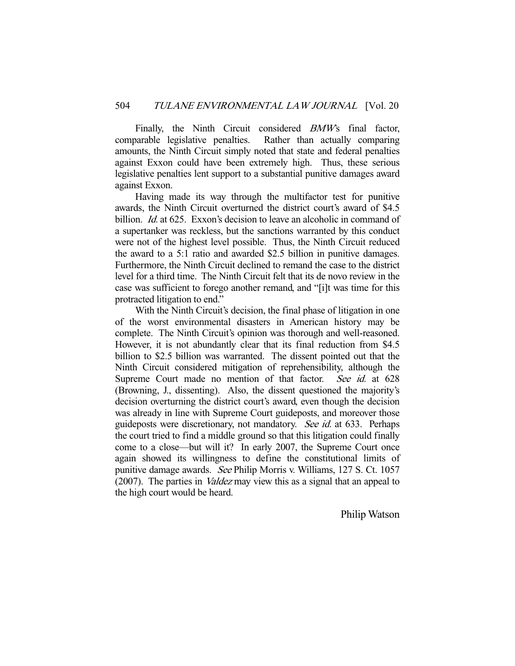Finally, the Ninth Circuit considered *BMW*'s final factor, comparable legislative penalties. Rather than actually comparing amounts, the Ninth Circuit simply noted that state and federal penalties against Exxon could have been extremely high. Thus, these serious legislative penalties lent support to a substantial punitive damages award against Exxon.

 Having made its way through the multifactor test for punitive awards, the Ninth Circuit overturned the district court's award of \$4.5 billion. *Id.* at 625. Exxon's decision to leave an alcoholic in command of a supertanker was reckless, but the sanctions warranted by this conduct were not of the highest level possible. Thus, the Ninth Circuit reduced the award to a 5:1 ratio and awarded \$2.5 billion in punitive damages. Furthermore, the Ninth Circuit declined to remand the case to the district level for a third time. The Ninth Circuit felt that its de novo review in the case was sufficient to forego another remand, and "[i]t was time for this protracted litigation to end."

 With the Ninth Circuit's decision, the final phase of litigation in one of the worst environmental disasters in American history may be complete. The Ninth Circuit's opinion was thorough and well-reasoned. However, it is not abundantly clear that its final reduction from \$4.5 billion to \$2.5 billion was warranted. The dissent pointed out that the Ninth Circuit considered mitigation of reprehensibility, although the Supreme Court made no mention of that factor. See id. at 628 (Browning, J., dissenting). Also, the dissent questioned the majority's decision overturning the district court's award, even though the decision was already in line with Supreme Court guideposts, and moreover those guideposts were discretionary, not mandatory. See id. at 633. Perhaps the court tried to find a middle ground so that this litigation could finally come to a close—but will it? In early 2007, the Supreme Court once again showed its willingness to define the constitutional limits of punitive damage awards. See Philip Morris v. Williams, 127 S. Ct. 1057 (2007). The parties in *Valdez* may view this as a signal that an appeal to the high court would be heard.

Philip Watson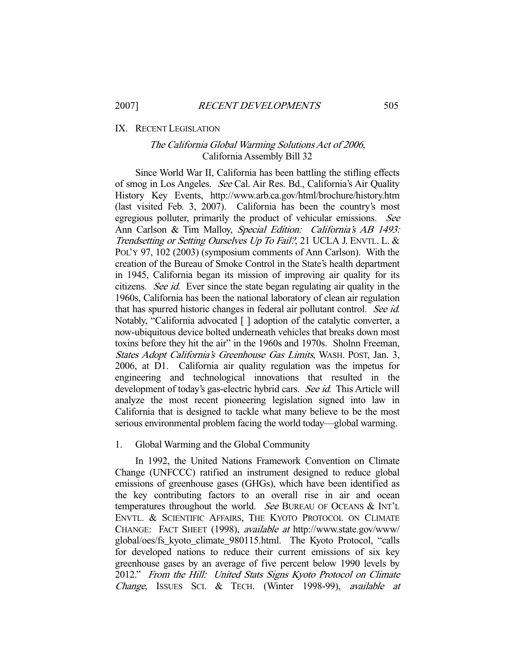## IX. RECENT LEGISLATION

# The California Global Warming Solutions Act of 2006, California Assembly Bill 32

 Since World War II, California has been battling the stifling effects of smog in Los Angeles. See Cal. Air Res. Bd., California's Air Quality History Key Events, http://www.arb.ca.gov/html/brochure/history.htm (last visited Feb. 3, 2007). California has been the country's most egregious polluter, primarily the product of vehicular emissions. See Ann Carlson & Tim Malloy, Special Edition: California's AB 1493: Trendsetting or Setting Ourselves Up To Fail?, 21 UCLA J. ENVTL. L. & POL'Y 97, 102 (2003) (symposium comments of Ann Carlson). With the creation of the Bureau of Smoke Control in the State's health department in 1945, California began its mission of improving air quality for its citizens. See id. Ever since the state began regulating air quality in the 1960s, California has been the national laboratory of clean air regulation that has spurred historic changes in federal air pollutant control. See id. Notably, "California advocated [ ] adoption of the catalytic converter, a now-ubiquitous device bolted underneath vehicles that breaks down most toxins before they hit the air" in the 1960s and 1970s. Sholnn Freeman, States Adopt California's Greenhouse Gas Limits, WASH. POST, Jan. 3, 2006, at D1. California air quality regulation was the impetus for engineering and technological innovations that resulted in the development of today's gas-electric hybrid cars. See id. This Article will analyze the most recent pioneering legislation signed into law in California that is designed to tackle what many believe to be the most serious environmental problem facing the world today—global warming.

## 1. Global Warming and the Global Community

 In 1992, the United Nations Framework Convention on Climate Change (UNFCCC) ratified an instrument designed to reduce global emissions of greenhouse gases (GHGs), which have been identified as the key contributing factors to an overall rise in air and ocean temperatures throughout the world. See BUREAU OF OCEANS & INT'L ENVTL. & SCIENTIFIC AFFAIRS, THE KYOTO PROTOCOL ON CLIMATE CHANGE: FACT SHEET (1998), available at http://www.state.gov/www/ global/oes/fs\_kyoto\_climate\_980115.html. The Kyoto Protocol, "calls for developed nations to reduce their current emissions of six key greenhouse gases by an average of five percent below 1990 levels by 2012." From the Hill: United Stats Signs Kyoto Protocol on Climate Change, ISSUES SCI. & TECH. (Winter 1998-99), available at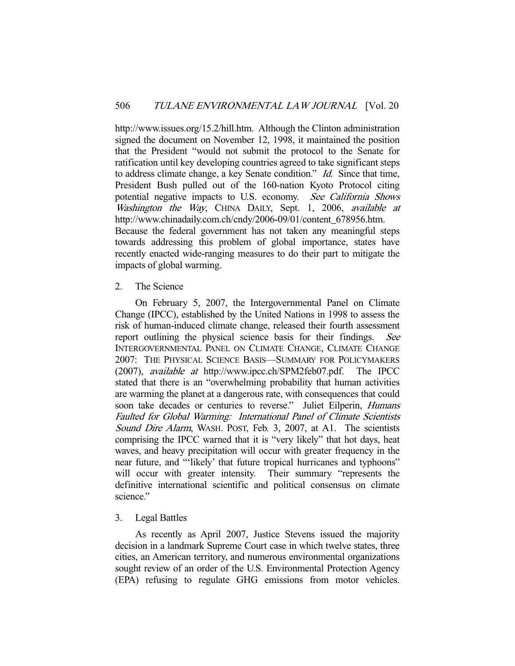http://www.issues.org/15.2/hill.htm. Although the Clinton administration signed the document on November 12, 1998, it maintained the position that the President "would not submit the protocol to the Senate for ratification until key developing countries agreed to take significant steps to address climate change, a key Senate condition." Id. Since that time, President Bush pulled out of the 160-nation Kyoto Protocol citing potential negative impacts to U.S. economy. See California Shows Washington the Way, CHINA DAILY, Sept. 1, 2006, available at http://www.chinadaily.com.ch/cndy/2006-09/01/content\_678956.htm. Because the federal government has not taken any meaningful steps towards addressing this problem of global importance, states have recently enacted wide-ranging measures to do their part to mitigate the impacts of global warming.

## 2. The Science

 On February 5, 2007, the Intergovernmental Panel on Climate Change (IPCC), established by the United Nations in 1998 to assess the risk of human-induced climate change, released their fourth assessment report outlining the physical science basis for their findings. See INTERGOVERNMENTAL PANEL ON CLIMATE CHANGE, CLIMATE CHANGE 2007: THE PHYSICAL SCIENCE BASIS—SUMMARY FOR POLICYMAKERS (2007), available at http://www.ipcc.ch/SPM2feb07.pdf. The IPCC stated that there is an "overwhelming probability that human activities are warming the planet at a dangerous rate, with consequences that could soon take decades or centuries to reverse." Juliet Eilperin, *Humans* Faulted for Global Warming: International Panel of Climate Scientists Sound Dire Alarm, WASH. POST, Feb. 3, 2007, at A1. The scientists comprising the IPCC warned that it is "very likely" that hot days, heat waves, and heavy precipitation will occur with greater frequency in the near future, and "'likely' that future tropical hurricanes and typhoons" will occur with greater intensity. Their summary "represents the definitive international scientific and political consensus on climate science."

# 3. Legal Battles

 As recently as April 2007, Justice Stevens issued the majority decision in a landmark Supreme Court case in which twelve states, three cities, an American territory, and numerous environmental organizations sought review of an order of the U.S. Environmental Protection Agency (EPA) refusing to regulate GHG emissions from motor vehicles.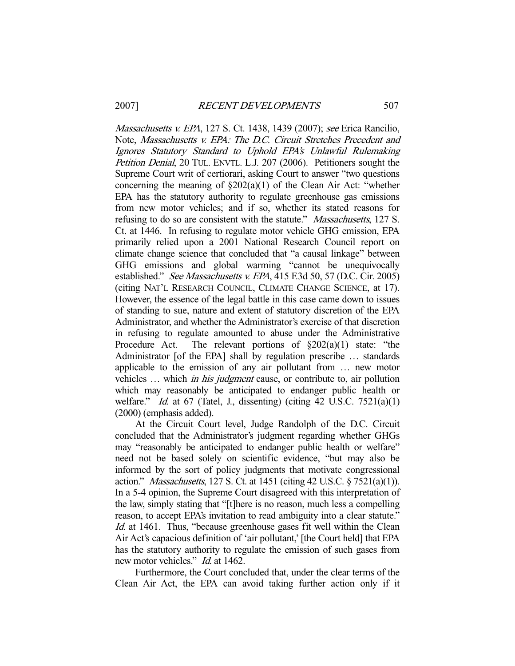Massachusetts v. EPA, 127 S. Ct. 1438, 1439 (2007); see Erica Rancilio, Note, Massachusetts v. EPA: The D.C. Circuit Stretches Precedent and Ignores Statutory Standard to Uphold EPA's Unlawful Rulemaking Petition Denial, 20 TUL. ENVTL. L.J. 207 (2006). Petitioners sought the Supreme Court writ of certiorari, asking Court to answer "two questions concerning the meaning of  $\S202(a)(1)$  of the Clean Air Act: "whether EPA has the statutory authority to regulate greenhouse gas emissions from new motor vehicles; and if so, whether its stated reasons for refusing to do so are consistent with the statute." *Massachusetts*, 127 S. Ct. at 1446. In refusing to regulate motor vehicle GHG emission, EPA primarily relied upon a 2001 National Research Council report on climate change science that concluded that "a causal linkage" between GHG emissions and global warming "cannot be unequivocally established." See Massachusetts v. EPA, 415 F.3d 50, 57 (D.C. Cir. 2005) (citing NAT'L RESEARCH COUNCIL, CLIMATE CHANGE SCIENCE, at 17). However, the essence of the legal battle in this case came down to issues of standing to sue, nature and extent of statutory discretion of the EPA Administrator, and whether the Administrator's exercise of that discretion in refusing to regulate amounted to abuse under the Administrative Procedure Act. The relevant portions of  $\S202(a)(1)$  state: "the Administrator [of the EPA] shall by regulation prescribe … standards applicable to the emission of any air pollutant from … new motor vehicles … which in his judgment cause, or contribute to, air pollution which may reasonably be anticipated to endanger public health or welfare." Id. at  $67$  (Tatel, J., dissenting) (citing  $42$  U.S.C.  $7521(a)(1)$ (2000) (emphasis added).

 At the Circuit Court level, Judge Randolph of the D.C. Circuit concluded that the Administrator's judgment regarding whether GHGs may "reasonably be anticipated to endanger public health or welfare" need not be based solely on scientific evidence, "but may also be informed by the sort of policy judgments that motivate congressional action." Massachusetts, 127 S. Ct. at 1451 (citing 42 U.S.C. § 7521(a)(1)). In a 5-4 opinion, the Supreme Court disagreed with this interpretation of the law, simply stating that "[t]here is no reason, much less a compelling reason, to accept EPA's invitation to read ambiguity into a clear statute." Id. at 1461. Thus, "because greenhouse gases fit well within the Clean Air Act's capacious definition of 'air pollutant,' [the Court held] that EPA has the statutory authority to regulate the emission of such gases from new motor vehicles." *Id.* at 1462.

 Furthermore, the Court concluded that, under the clear terms of the Clean Air Act, the EPA can avoid taking further action only if it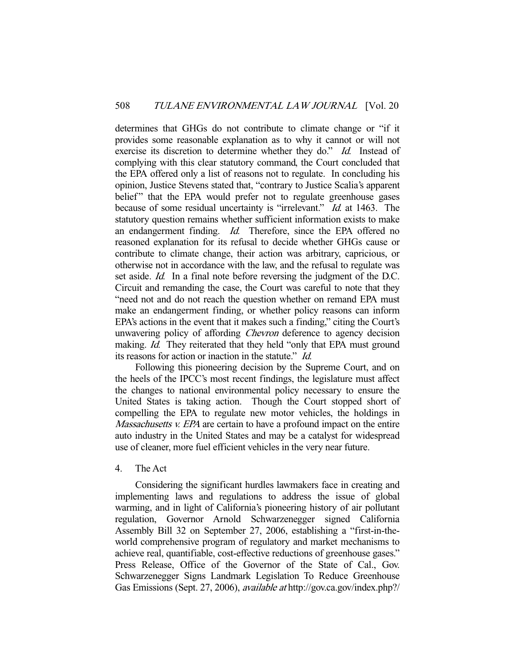determines that GHGs do not contribute to climate change or "if it provides some reasonable explanation as to why it cannot or will not exercise its discretion to determine whether they do." Id. Instead of complying with this clear statutory command, the Court concluded that the EPA offered only a list of reasons not to regulate. In concluding his opinion, Justice Stevens stated that, "contrary to Justice Scalia's apparent belief" that the EPA would prefer not to regulate greenhouse gases because of some residual uncertainty is "irrelevant." *Id.* at 1463. The statutory question remains whether sufficient information exists to make an endangerment finding. Id. Therefore, since the EPA offered no reasoned explanation for its refusal to decide whether GHGs cause or contribute to climate change, their action was arbitrary, capricious, or otherwise not in accordance with the law, and the refusal to regulate was set aside. *Id.* In a final note before reversing the judgment of the D.C. Circuit and remanding the case, the Court was careful to note that they "need not and do not reach the question whether on remand EPA must make an endangerment finding, or whether policy reasons can inform EPA's actions in the event that it makes such a finding," citing the Court's unwavering policy of affording Chevron deference to agency decision making. *Id.* They reiterated that they held "only that EPA must ground" its reasons for action or inaction in the statute." Id.

 Following this pioneering decision by the Supreme Court, and on the heels of the IPCC's most recent findings, the legislature must affect the changes to national environmental policy necessary to ensure the United States is taking action. Though the Court stopped short of compelling the EPA to regulate new motor vehicles, the holdings in Massachusetts v. EPA are certain to have a profound impact on the entire auto industry in the United States and may be a catalyst for widespread use of cleaner, more fuel efficient vehicles in the very near future.

## 4. The Act

 Considering the significant hurdles lawmakers face in creating and implementing laws and regulations to address the issue of global warming, and in light of California's pioneering history of air pollutant regulation, Governor Arnold Schwarzenegger signed California Assembly Bill 32 on September 27, 2006, establishing a "first-in-theworld comprehensive program of regulatory and market mechanisms to achieve real, quantifiable, cost-effective reductions of greenhouse gases." Press Release, Office of the Governor of the State of Cal., Gov. Schwarzenegger Signs Landmark Legislation To Reduce Greenhouse Gas Emissions (Sept. 27, 2006), available at http://gov.ca.gov/index.php?/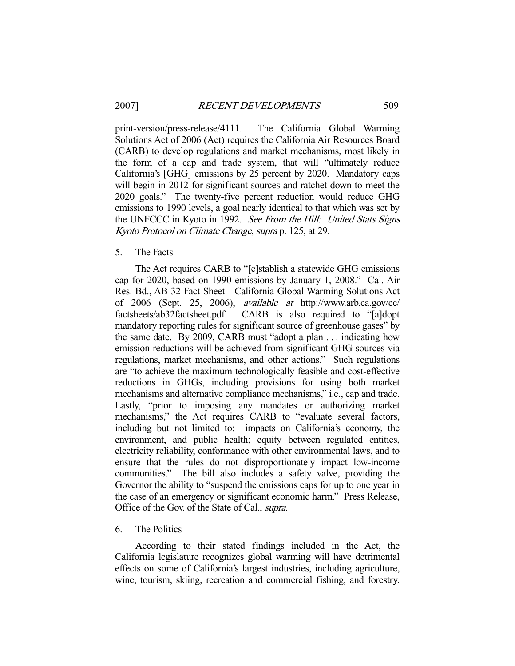print-version/press-release/4111. The California Global Warming Solutions Act of 2006 (Act) requires the California Air Resources Board (CARB) to develop regulations and market mechanisms, most likely in the form of a cap and trade system, that will "ultimately reduce California's [GHG] emissions by 25 percent by 2020. Mandatory caps will begin in 2012 for significant sources and ratchet down to meet the 2020 goals." The twenty-five percent reduction would reduce GHG emissions to 1990 levels, a goal nearly identical to that which was set by the UNFCCC in Kyoto in 1992. See From the Hill: United Stats Signs Kyoto Protocol on Climate Change, supra p. 125, at 29.

## 5. The Facts

 The Act requires CARB to "[e]stablish a statewide GHG emissions cap for 2020, based on 1990 emissions by January 1, 2008." Cal. Air Res. Bd., AB 32 Fact Sheet—California Global Warming Solutions Act of 2006 (Sept. 25, 2006), *available at* http://www.arb.ca.gov/cc/<br>factsheets/ab32factsheet.pdf. CARB is also required to "[a]dopt CARB is also required to "[a]dopt mandatory reporting rules for significant source of greenhouse gases" by the same date. By 2009, CARB must "adopt a plan . . . indicating how emission reductions will be achieved from significant GHG sources via regulations, market mechanisms, and other actions." Such regulations are "to achieve the maximum technologically feasible and cost-effective reductions in GHGs, including provisions for using both market mechanisms and alternative compliance mechanisms," i.e., cap and trade. Lastly, "prior to imposing any mandates or authorizing market mechanisms," the Act requires CARB to "evaluate several factors, including but not limited to: impacts on California's economy, the environment, and public health; equity between regulated entities, electricity reliability, conformance with other environmental laws, and to ensure that the rules do not disproportionately impact low-income communities." The bill also includes a safety valve, providing the Governor the ability to "suspend the emissions caps for up to one year in the case of an emergency or significant economic harm." Press Release, Office of the Gov. of the State of Cal., supra.

## 6. The Politics

 According to their stated findings included in the Act, the California legislature recognizes global warming will have detrimental effects on some of California's largest industries, including agriculture, wine, tourism, skiing, recreation and commercial fishing, and forestry.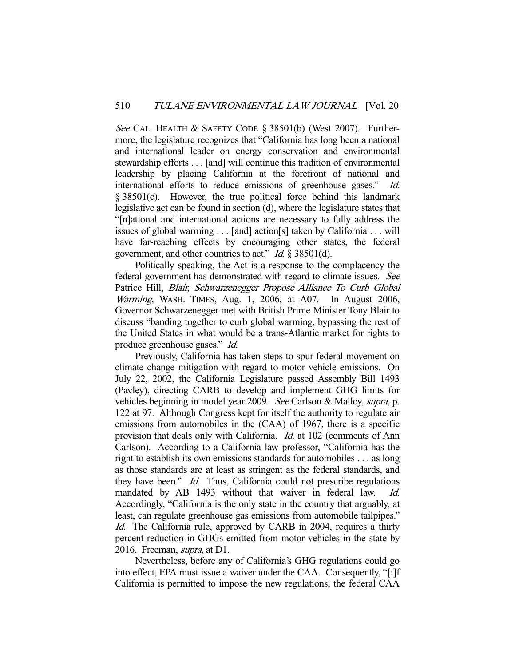See CAL. HEALTH & SAFETY CODE  $\S 38501(b)$  (West 2007). Furthermore, the legislature recognizes that "California has long been a national and international leader on energy conservation and environmental stewardship efforts . . . [and] will continue this tradition of environmental leadership by placing California at the forefront of national and international efforts to reduce emissions of greenhouse gases." Id. § 38501(c). However, the true political force behind this landmark legislative act can be found in section (d), where the legislature states that "[n]ational and international actions are necessary to fully address the issues of global warming . . . [and] action[s] taken by California . . . will have far-reaching effects by encouraging other states, the federal government, and other countries to act." Id. § 38501(d).

 Politically speaking, the Act is a response to the complacency the federal government has demonstrated with regard to climate issues. See Patrice Hill, Blair, Schwarzenegger Propose Alliance To Curb Global Warming, WASH. TIMES, Aug. 1, 2006, at A07. In August 2006, Governor Schwarzenegger met with British Prime Minister Tony Blair to discuss "banding together to curb global warming, bypassing the rest of the United States in what would be a trans-Atlantic market for rights to produce greenhouse gases." Id.

 Previously, California has taken steps to spur federal movement on climate change mitigation with regard to motor vehicle emissions. On July 22, 2002, the California Legislature passed Assembly Bill 1493 (Pavley), directing CARB to develop and implement GHG limits for vehicles beginning in model year 2009. See Carlson & Malloy, supra, p. 122 at 97. Although Congress kept for itself the authority to regulate air emissions from automobiles in the (CAA) of 1967, there is a specific provision that deals only with California. *Id.* at 102 (comments of Ann Carlson). According to a California law professor, "California has the right to establish its own emissions standards for automobiles . . . as long as those standards are at least as stringent as the federal standards, and they have been." *Id.* Thus, California could not prescribe regulations mandated by AB 1493 without that waiver in federal law. Id. Accordingly, "California is the only state in the country that arguably, at least, can regulate greenhouse gas emissions from automobile tailpipes." Id. The California rule, approved by CARB in 2004, requires a thirty percent reduction in GHGs emitted from motor vehicles in the state by 2016. Freeman, supra, at D1.

 Nevertheless, before any of California's GHG regulations could go into effect, EPA must issue a waiver under the CAA. Consequently, "[i]f California is permitted to impose the new regulations, the federal CAA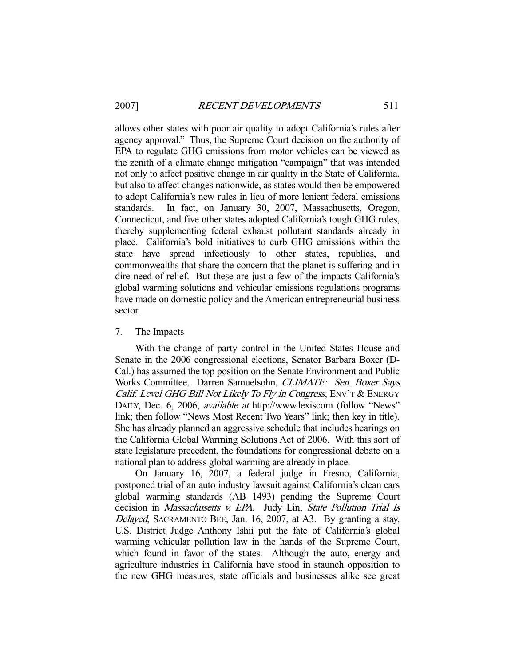allows other states with poor air quality to adopt California's rules after agency approval." Thus, the Supreme Court decision on the authority of EPA to regulate GHG emissions from motor vehicles can be viewed as the zenith of a climate change mitigation "campaign" that was intended not only to affect positive change in air quality in the State of California, but also to affect changes nationwide, as states would then be empowered to adopt California's new rules in lieu of more lenient federal emissions standards. In fact, on January 30, 2007, Massachusetts, Oregon, Connecticut, and five other states adopted California's tough GHG rules, thereby supplementing federal exhaust pollutant standards already in place. California's bold initiatives to curb GHG emissions within the state have spread infectiously to other states, republics, and commonwealths that share the concern that the planet is suffering and in dire need of relief. But these are just a few of the impacts California's global warming solutions and vehicular emissions regulations programs have made on domestic policy and the American entrepreneurial business sector.

# 7. The Impacts

 With the change of party control in the United States House and Senate in the 2006 congressional elections, Senator Barbara Boxer (D-Cal.) has assumed the top position on the Senate Environment and Public Works Committee. Darren Samuelsohn, CLIMATE: Sen. Boxer Says Calif. Level GHG Bill Not Likely To Fly in Congress, ENV'T & ENERGY DAILY, Dec. 6, 2006, *available at http://www.lexiscom (follow "News"* link; then follow "News Most Recent Two Years" link; then key in title). She has already planned an aggressive schedule that includes hearings on the California Global Warming Solutions Act of 2006. With this sort of state legislature precedent, the foundations for congressional debate on a national plan to address global warming are already in place.

 On January 16, 2007, a federal judge in Fresno, California, postponed trial of an auto industry lawsuit against California's clean cars global warming standards (AB 1493) pending the Supreme Court decision in Massachusetts v. EPA. Judy Lin, State Pollution Trial Is Delayed, SACRAMENTO BEE, Jan. 16, 2007, at A3. By granting a stay, U.S. District Judge Anthony Ishii put the fate of California's global warming vehicular pollution law in the hands of the Supreme Court, which found in favor of the states. Although the auto, energy and agriculture industries in California have stood in staunch opposition to the new GHG measures, state officials and businesses alike see great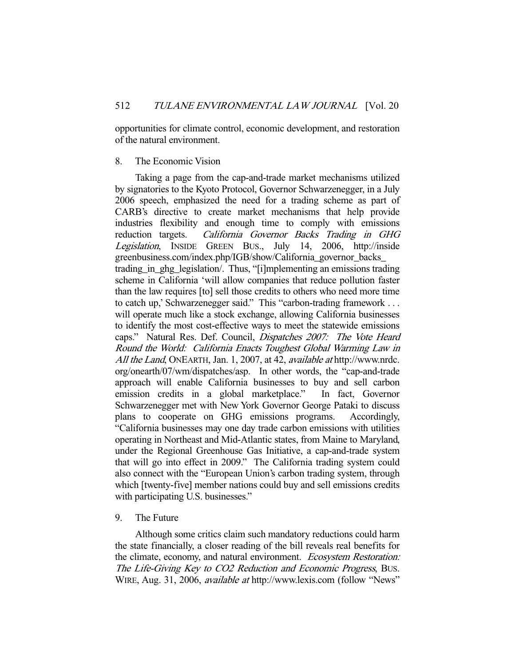opportunities for climate control, economic development, and restoration of the natural environment.

# 8. The Economic Vision

 Taking a page from the cap-and-trade market mechanisms utilized by signatories to the Kyoto Protocol, Governor Schwarzenegger, in a July 2006 speech, emphasized the need for a trading scheme as part of CARB's directive to create market mechanisms that help provide industries flexibility and enough time to comply with emissions reduction targets. California Governor Backs Trading in GHG Legislation, INSIDE GREEN BUS., July 14, 2006, http://inside greenbusiness.com/index.php/IGB/show/California\_governor\_backs\_ trading in ghg legislation. Thus, "[i]mplementing an emissions trading scheme in California 'will allow companies that reduce pollution faster than the law requires [to] sell those credits to others who need more time to catch up,' Schwarzenegger said." This "carbon-trading framework . . . will operate much like a stock exchange, allowing California businesses to identify the most cost-effective ways to meet the statewide emissions caps." Natural Res. Def. Council, Dispatches 2007: The Vote Heard Round the World: California Enacts Toughest Global Warming Law in All the Land, ONEARTH, Jan. 1, 2007, at 42, *available at* http://www.nrdc. org/onearth/07/wm/dispatches/asp. In other words, the "cap-and-trade approach will enable California businesses to buy and sell carbon emission credits in a global marketplace." In fact, Governor Schwarzenegger met with New York Governor George Pataki to discuss plans to cooperate on GHG emissions programs. Accordingly, "California businesses may one day trade carbon emissions with utilities operating in Northeast and Mid-Atlantic states, from Maine to Maryland, under the Regional Greenhouse Gas Initiative, a cap-and-trade system that will go into effect in 2009." The California trading system could also connect with the "European Union's carbon trading system, through which [twenty-five] member nations could buy and sell emissions credits with participating U.S. businesses."

# 9. The Future

 Although some critics claim such mandatory reductions could harm the state financially, a closer reading of the bill reveals real benefits for the climate, economy, and natural environment. Ecosystem Restoration: The Life-Giving Key to CO2 Reduction and Economic Progress, BUS. WIRE, Aug. 31, 2006, available at http://www.lexis.com (follow "News"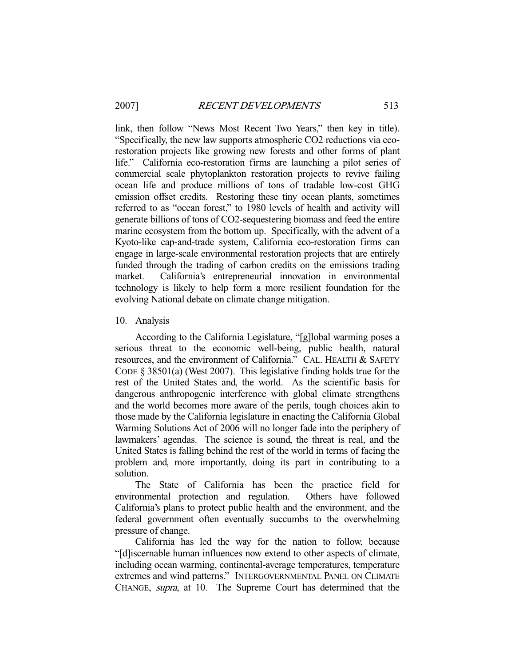link, then follow "News Most Recent Two Years," then key in title). "Specifically, the new law supports atmospheric CO2 reductions via ecorestoration projects like growing new forests and other forms of plant life." California eco-restoration firms are launching a pilot series of commercial scale phytoplankton restoration projects to revive failing ocean life and produce millions of tons of tradable low-cost GHG emission offset credits. Restoring these tiny ocean plants, sometimes referred to as "ocean forest," to 1980 levels of health and activity will generate billions of tons of CO2-sequestering biomass and feed the entire marine ecosystem from the bottom up. Specifically, with the advent of a Kyoto-like cap-and-trade system, California eco-restoration firms can engage in large-scale environmental restoration projects that are entirely funded through the trading of carbon credits on the emissions trading market. California's entrepreneurial innovation in environmental technology is likely to help form a more resilient foundation for the evolving National debate on climate change mitigation.

10. Analysis

 According to the California Legislature, "[g]lobal warming poses a serious threat to the economic well-being, public health, natural resources, and the environment of California." CAL. HEALTH & SAFETY CODE § 38501(a) (West 2007). This legislative finding holds true for the rest of the United States and, the world. As the scientific basis for dangerous anthropogenic interference with global climate strengthens and the world becomes more aware of the perils, tough choices akin to those made by the California legislature in enacting the California Global Warming Solutions Act of 2006 will no longer fade into the periphery of lawmakers' agendas. The science is sound, the threat is real, and the United States is falling behind the rest of the world in terms of facing the problem and, more importantly, doing its part in contributing to a solution.

 The State of California has been the practice field for environmental protection and regulation. Others have followed California's plans to protect public health and the environment, and the federal government often eventually succumbs to the overwhelming pressure of change.

 California has led the way for the nation to follow, because "[d]iscernable human influences now extend to other aspects of climate, including ocean warming, continental-average temperatures, temperature extremes and wind patterns." INTERGOVERNMENTAL PANEL ON CLIMATE CHANGE, supra, at 10. The Supreme Court has determined that the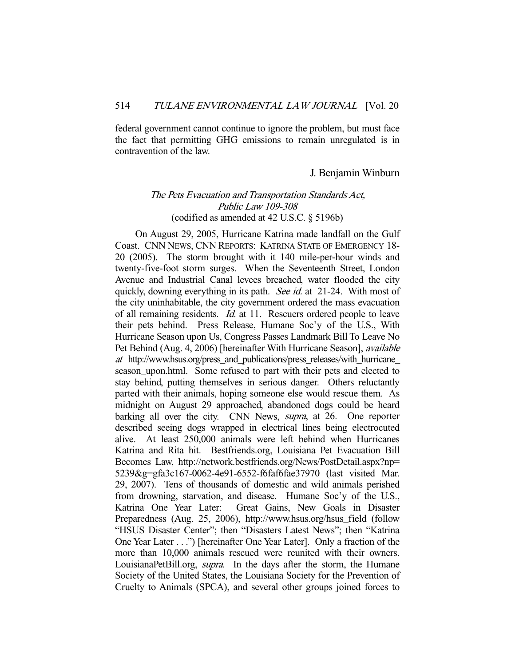federal government cannot continue to ignore the problem, but must face the fact that permitting GHG emissions to remain unregulated is in contravention of the law.

# J. Benjamin Winburn

# The Pets Evacuation and Transportation Standards Act, Public Law 109-308 (codified as amended at 42 U.S.C. § 5196b)

 On August 29, 2005, Hurricane Katrina made landfall on the Gulf Coast. CNN NEWS, CNN REPORTS: KATRINA STATE OF EMERGENCY 18- 20 (2005). The storm brought with it 140 mile-per-hour winds and twenty-five-foot storm surges. When the Seventeenth Street, London Avenue and Industrial Canal levees breached, water flooded the city quickly, downing everything in its path. See id. at 21-24. With most of the city uninhabitable, the city government ordered the mass evacuation of all remaining residents. Id. at 11. Rescuers ordered people to leave their pets behind. Press Release, Humane Soc'y of the U.S., With Hurricane Season upon Us, Congress Passes Landmark Bill To Leave No Pet Behind (Aug. 4, 2006) [hereinafter With Hurricane Season], available at http://www.hsus.org/press\_and\_publications/press\_releases/with\_hurricane\_ season upon.html. Some refused to part with their pets and elected to stay behind, putting themselves in serious danger. Others reluctantly parted with their animals, hoping someone else would rescue them. As midnight on August 29 approached, abandoned dogs could be heard barking all over the city. CNN News, *supra*, at 26. One reporter described seeing dogs wrapped in electrical lines being electrocuted alive. At least 250,000 animals were left behind when Hurricanes Katrina and Rita hit. Bestfriends.org, Louisiana Pet Evacuation Bill Becomes Law, http://network.bestfriends.org/News/PostDetail.aspx?np= 5239&g=gfa3c167-0062-4e91-6552-f6faf6fae37970 (last visited Mar. 29, 2007). Tens of thousands of domestic and wild animals perished from drowning, starvation, and disease. Humane Soc'y of the U.S., Katrina One Year Later: Great Gains, New Goals in Disaster Preparedness (Aug. 25, 2006), http://www.hsus.org/hsus\_field (follow "HSUS Disaster Center"; then "Disasters Latest News"; then "Katrina One Year Later . . .") [hereinafter One Year Later]. Only a fraction of the more than 10,000 animals rescued were reunited with their owners. LouisianaPetBill.org, *supra*. In the days after the storm, the Humane Society of the United States, the Louisiana Society for the Prevention of Cruelty to Animals (SPCA), and several other groups joined forces to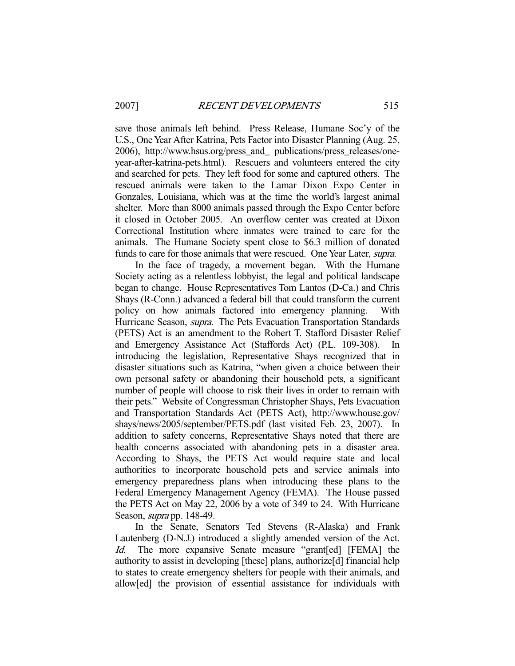save those animals left behind. Press Release, Humane Soc'y of the U.S., One Year After Katrina, Pets Factor into Disaster Planning (Aug. 25, 2006), http://www.hsus.org/press\_and\_ publications/press\_releases/oneyear-after-katrina-pets.html). Rescuers and volunteers entered the city and searched for pets. They left food for some and captured others. The rescued animals were taken to the Lamar Dixon Expo Center in Gonzales, Louisiana, which was at the time the world's largest animal shelter. More than 8000 animals passed through the Expo Center before it closed in October 2005. An overflow center was created at Dixon Correctional Institution where inmates were trained to care for the animals. The Humane Society spent close to \$6.3 million of donated funds to care for those animals that were rescued. One Year Later, supra.

 In the face of tragedy, a movement began. With the Humane Society acting as a relentless lobbyist, the legal and political landscape began to change. House Representatives Tom Lantos (D-Ca.) and Chris Shays (R-Conn.) advanced a federal bill that could transform the current policy on how animals factored into emergency planning. With Hurricane Season, *supra*. The Pets Evacuation Transportation Standards (PETS) Act is an amendment to the Robert T. Stafford Disaster Relief and Emergency Assistance Act (Staffords Act) (P.L. 109-308). In introducing the legislation, Representative Shays recognized that in disaster situations such as Katrina, "when given a choice between their own personal safety or abandoning their household pets, a significant number of people will choose to risk their lives in order to remain with their pets." Website of Congressman Christopher Shays, Pets Evacuation and Transportation Standards Act (PETS Act), http://www.house.gov/ shays/news/2005/september/PETS.pdf (last visited Feb. 23, 2007). In addition to safety concerns, Representative Shays noted that there are health concerns associated with abandoning pets in a disaster area. According to Shays, the PETS Act would require state and local authorities to incorporate household pets and service animals into emergency preparedness plans when introducing these plans to the Federal Emergency Management Agency (FEMA). The House passed the PETS Act on May 22, 2006 by a vote of 349 to 24. With Hurricane Season, *supra* pp. 148-49.

 In the Senate, Senators Ted Stevens (R-Alaska) and Frank Lautenberg (D-N.J.) introduced a slightly amended version of the Act. Id. The more expansive Senate measure "grant[ed] [FEMA] the authority to assist in developing [these] plans, authorize[d] financial help to states to create emergency shelters for people with their animals, and allow[ed] the provision of essential assistance for individuals with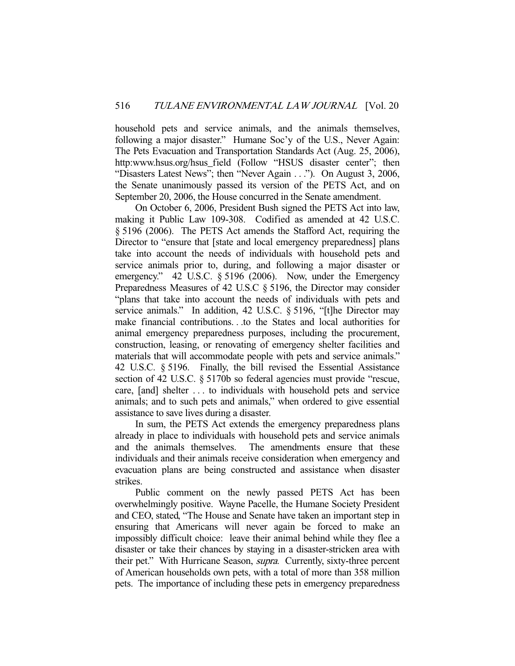household pets and service animals, and the animals themselves, following a major disaster." Humane Soc'y of the U.S., Never Again: The Pets Evacuation and Transportation Standards Act (Aug. 25, 2006), http:www.hsus.org/hsus field (Follow "HSUS disaster center"; then "Disasters Latest News"; then "Never Again . . ."). On August 3, 2006, the Senate unanimously passed its version of the PETS Act, and on September 20, 2006, the House concurred in the Senate amendment.

 On October 6, 2006, President Bush signed the PETS Act into law, making it Public Law 109-308. Codified as amended at 42 U.S.C. § 5196 (2006). The PETS Act amends the Stafford Act, requiring the Director to "ensure that [state and local emergency preparedness] plans take into account the needs of individuals with household pets and service animals prior to, during, and following a major disaster or emergency." 42 U.S.C. § 5196 (2006). Now, under the Emergency Preparedness Measures of 42 U.S.C § 5196, the Director may consider "plans that take into account the needs of individuals with pets and service animals." In addition, 42 U.S.C. § 5196, "[t]he Director may make financial contributions. . .to the States and local authorities for animal emergency preparedness purposes, including the procurement, construction, leasing, or renovating of emergency shelter facilities and materials that will accommodate people with pets and service animals." 42 U.S.C. § 5196. Finally, the bill revised the Essential Assistance section of 42 U.S.C. § 5170b so federal agencies must provide "rescue, care, [and] shelter . . . to individuals with household pets and service animals; and to such pets and animals," when ordered to give essential assistance to save lives during a disaster.

 In sum, the PETS Act extends the emergency preparedness plans already in place to individuals with household pets and service animals and the animals themselves. The amendments ensure that these individuals and their animals receive consideration when emergency and evacuation plans are being constructed and assistance when disaster strikes.

 Public comment on the newly passed PETS Act has been overwhelmingly positive. Wayne Pacelle, the Humane Society President and CEO, stated, "The House and Senate have taken an important step in ensuring that Americans will never again be forced to make an impossibly difficult choice: leave their animal behind while they flee a disaster or take their chances by staying in a disaster-stricken area with their pet." With Hurricane Season, supra. Currently, sixty-three percent of American households own pets, with a total of more than 358 million pets. The importance of including these pets in emergency preparedness